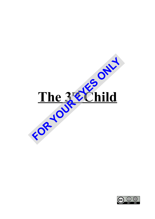

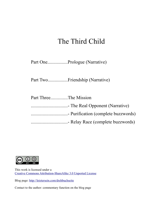# The Third Child

Part One.................Prologue (Narrative)

Part Two.................Friendship (Narrative)

Part Three..............The Mission ...............................- The Real Opponent (Narrative) ...............................- Purification (complete buzzwords) ...............................- Relay Race (complete buzzwords)



This work is licensed under a [Creative Commons Attribution-ShareAlike 3.0 Unported License](http://creativecommons.org/licenses/by-sa/3.0)

Blog page:<http://letztersein.com/drehbuchseite>

Contact to the author: commentary function on the blog page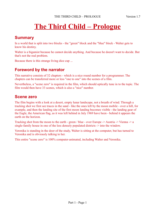# **The Third Child – Prologue**

## **Summary**

In a world that is split into two blocks - the "green" block and the "blue" block - Walter gets to know his destiny.

Walter is a bigamist because he cannot decide anything. And because he doesn't want to decide. But that's not the real problem.

Because there is this strange living dice cup ...

# **Foreword by the narrator**

This narrative consists of 32 chapters - which is a nice round number for a programmer. The chapters can be transferred more or less "one to one" into the scenes of a film.

Nevertheless, a "scene zero" is required in the film, which should optically tune in to the topic. The film would then have 33 scenes, which is also a "nice" number.

## **Scene zero**

The film begins with a look at a desert, empty lunar landscape, not a breath of wind. Through a tracking shot we first see traces in the sand - like the ones left by the moon mobile - over a hill, for example, and then the landing site of the first moon landing becomes visible - the landing gear of the Eagle, the American flag, as it was left behind in July 1969 have been - behind it appears the earth on the horizon.

Tracking shot from the moon to the earth - green / blue - over Europe -> Austria -> Vienna -> a single-family house in one of the less densely populated districts  $\rightarrow$  into the window.

Veronika is standing in the door of the study, Walter is sitting at the computer, but has turned to Veronika and is obviously talking to her.

This entire "scene zero" is 100% computer-animated, including Walter and Veronika.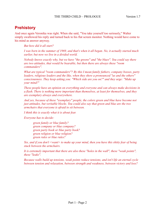## **Prehistory**

And once again Veronika was right. When she said, "You take yourself too seriously," Walter simply swallowed his reply and turned back to his flat screen monitor. Nothing would have come to his mind as answer anyway.

*But how did it all start?*

*I was born in the summer of 1969, and that's when it all began. No, it actually started much earlier, but now we live in a divided world.*

*Nobody knows exactly why, but we have "the greens" and "the blues". You could say there are two attitudes, that would be bearable, but then there are always these "room commanders".*

*What are typical "room commanders"? By this I mean family fathers, company bosses, party leaders, religious leaders and the like, when they show a pronounced "us and the others" consciousness. They keep asking you: "Which side are you on?" and they urge: "Make up your mind!"*

*These people have an opinion on everything and everyone and can always make decisions in a flash. There is nothing more important than themselves, at least for themselves, and they are exemplary always and everywhere.*

*And yes, because of these "exemplary" people, the colors green and blue have become not just attitudes, but veritable blocks. You could also say that green and blue are the two armchairs that everyone is afraid to sit between.*

*I think this is exactly what it is about fear.*

*Everyone has to decide:*

*green family or blue family? green company or blue company? green party book or blue party book? green religion or blue religion? green rules or blue rules?*

*Yes, and if you don't*  $\leq$  *want* $>$  to make up your mind, then you have this shitty fear of being *stuck between the armchairs.*

*It is extremely important that there are also these "holes in the wall", these "weak points", these "leaks".*

*Because walls build up tensions, weak points reduce tensions, and isn't life an eternal cycle between tension and relaxation, between strength and weakness, between victory and loss?*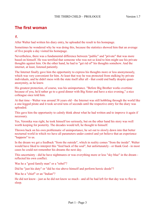## **The first woman**

#### *1.*

After Walter had written his diary entry, he uploaded the result to his homepage.

Sometimes he wondered why he was doing this, because the statistics showed him that an average of five people a day visited his homepage.

Nevertheless, there was a fundamental difference between "public" and "private" that was more based on himself. He was terrified that someone who was not so kind to him might use his private thoughts against him. On the other hand, he had to "get rid of" his thoughts somehow. And the internet, at least, listened patiently.

The Internet finally gave him the opportunity to express his thoughts more or less anonymously, which was very convenient for him. At least that way he was protected from stalking by private individuals, and he didn't mess with the state itself after all - that could end badly despite quasianonymity, as he knew.

His greatest protection, of course, was his unimportance. "Before Big Brother works overtime because of you, he'd rather go to a good dinner with Big Sister and have a nice evening," a nice colleague once told him.

At that time - Walter was around 38 years old - the Internet was still hobbling through the world like a one-legged pirate and it took several tens of seconds until the respective entry for the diary was uploaded.

This gave him the opportunity to calmly think about what he had written and to improve it again if necessary.

Yes, Veronika was right, he took himself too seriously, but on the other hand his story was well worth keeping for posterity. The decades would tell, he thought to himself.

Thrown back on his own problematic of unimportance, he set out to slowly dawn into that better nocturnal world in which we have all parameters under control and yet believe that an experience "happens" to us.

In the dream we get a feedback "from the outside", which in reality comes "from the inside". Walter would have liked to interpret this "feed back of the soul", but unfortunately - or thank God - in most cases he could not remember his dreams the next day.

This uncertainty - did he have nightmares or was everything more or less "sky blue" in the dream reflected his own conflict.

Was he a "good family man" or a "rebel"?

Did he "just his duty" or "did he rise above himself and perform heroic deeds"?

Was he a "chief" or an "Indian"?

He did not know - just as he did not know so much - and all he had left for that day was to flee to sleep.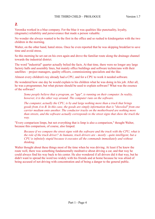Veronika worked in a blue company. For the blue it was qualities like punctuality, loyalty, (dogmatic) reliability and perseverance that made a person valuable.

No wonder she always wanted to be the first in the office and so rushed to kindergarten with the two children in the morning.

Walter, on the other hand, hated stress. Once he even reported that he was skipping breakfast to save time and avoid stress.

So this morning he set out on his own again and drove the familiar route along the drainage channel towards the industrial district.

The word "industrial" quarter actually belied the facts. At that time, there were no longer any large factory halls and assembly lines, but mainly office buildings and software technicians with their satellites – project managers, quality officers, commissioning specialists and the like.

Almost every children's toy already had a CPU, and for a CPU to work it needed software.

He wondered how one day he would explain to his children what he was doing in his job. After all, he was a programmer, but what picture should be used to explain software? What was the essence of the software?

*Some people believe that a program, an "app", is running on their computer. In reality, however, it is the other way around. The computer runs on the software.*

*The computer, actually the CPU, is by and large nothing more than a truck that brings goods from A to B. In this case, the goods are simply information that is "shoveled" from one carrier medium onto another. The conductor tracks on the motherboard are nothing more than streets, and the software actually corresponds to the street signs that show the truck the way.*

"Every comparison limps, but not everything that is limp is also a comparison," thought Walter, because this comparison, of course, also limped.

*Because if we compare the street signs with the software and the truck with the CPU, what is the role of the truck driver? As humans, truck drivers are - mostly - quite intelligent, but a CPU is infinitely stupid because it executes all the commands immediately and without thinking.*

Walter thought about these things most of the time when he was driving. At least if he knew the route well, there was something fundamentally meditative about driving a car, and that way he could always find his way back to his center. He also wondered if all drivers did it that way, but he didn't want to spread the word too widely with his friends and at home because he was afraid of being accused of not driving with concentration and of being a danger to the general public.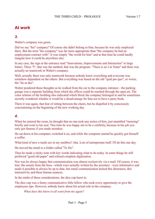## **At work**

### *3.*

Walter's company was green.

Did we say "his" company? Of course she didn't belong to him, because he was only employed there. But the term "his company" was far more appropriate than "the company he had an employment contract with". It was simply "the world for him" and at that time he could hardly imagine how it could be anywhere else.

In any case, the sign at the entrance read "Innovations, Improvements and Interaction" in large letters. Three "I", that was the method, that was the program. "There is no I in Team" and there was actually no teamwork in Walter's company.

Well, actually there was only teamwork because nobody knew everything and everyone was somehow dependent on the others. But everything was based on the old "quid pro quo", or worse, the "do ut des".

Walter pondered these thoughts as he walked from the car to the company entrance - the parking garage was a separate building from which the offices could be reached through the open air. The color scheme of the building also indicated which block the company belonged to and he sometimes secretly wondered whether it would be a disadvantage for him not to have a party book.

There it was again, that fear of sitting between the chairs, but he dispelled it by consciously concentrating on the beginning of the new working day.

## *4.*

When he entered the room, he thought that no one took any notice of him, just mumbled "morning" briefly and went to his seat. This time he was happy not to be a celebrity, because in his job you only got famous if you made mistakes.

He sat down at his computer, switched it on, and while the computer started he quickly got himself a coffee.

What kind of new e-mails are in my mailbox? Aha. Lots of unimportant stuff. I'll do this one day.

He moved the email to a folder called "To Do".

Then he made a sticky note with key words indicating what to do today. In some things he still preferred "good old paper" and refused complete digitization.

Nor was he always happy that communication was almost exclusively via e-mail. Of course, it was true: the emails from the boss - which were actually written by the secretary - were informative and made it possible to always be up to date, but email communication lacked this directness, this interactivity and these human nuances.

In the midst of these considerations, the dice cup burst in.

The dice cup was a funny communicative little fellow who took every opportunity to give the employees tips. However, nobody knew about his actual role in the company.

*What does this know-it-all want from me again?*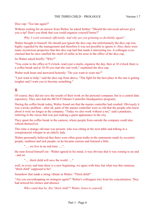Dice cup: "Too late again?"

Without waiting for an answer from Walter, he asked further: "Should the universal advisor give you a tip? Don't you think that you could organize yourself better?"

*Why, I work extremely efficiently. And why are you grinning so devilishly again?*

Walter thought to himself. He should just ignore the dice cup, but unfortunately the dice cup was highly regarded by the management and therefore it was not possible to ignore it. Also, there were many mysterious properties that this dice cup had that made it interesting too. A colleague even claimed that he once smelled the smell of sulfur in his nose in the office of the dice cup.

So Walter asked briefly: "Why?"

"You come to the office at 9 o'clock, read your e-mails, organize the day, then at 10 o'clock there is a coffee break and at 10:30 you start the real work," explained the dice cup.

Walter took heart and answered honestly: "Do you want to scare me?"

"I just want to help," said the dice cup from above, "The fight for the best place in the sun is getting tougher and I want you to become something."

### *5.*

Of course, they did not save the results of their work on the personal computer, but in a central data repository. They also had the MCH-P (Master Controller Headquarters program).

During the coffee break today, Walter found out that the master controller had crashed. Obviously it was a tricky problem - after all, parts of the master controller were so old that the people who knew about it were no longer at the company. "Today we also work without a net," said a prankster, referring to the circus that was just making a guest appearance in the city.

They spent the coffee break in the canteen, where people from outside the company could also refresh themselves.

This time a strange old man was present, who was sitting at the next table and talking in a conspiratorial whisper to an elderly lady.

Walter personally believed that there were often great truths in the statements made by eccentric people, madmen and sick people, so he became curious and listened a little.

"..... we live in an end time .....",

the man forced himself out - Walter agreed in his mind, it was obvious that it was coming to an end - and on

"..... third child will save the world ....."

well, in every end time there is a new beginning, we agree with him, but what was this ominous "third child" supposed to be?

Somehow that made a string vibrate in Walter: "Third child!"

"Are you eavesdropping on strangers again?" Walter's colleagues tore from his concentration. They had noticed his silence and absence.

*Who could that be, this "third child"? Walter, listen to yourself.*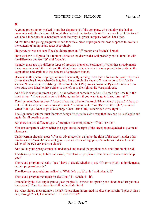A young programmer worked in another department of the company, who that day also had an encounter with the dice cup. Although this had nothing to do with Walter, we would still like to tell you about it because it is symptomatic of the way the green company worked back then.

At that time, the young programmer had to write a piece of program that was supposed to evaluate the content of an input and react accordingly.

However, he was not sure if he should program an "if" branch or a "switch" branch.

Here we have to digress for a moment, because the dear reader will probably not be familiar with the difference between "if" and "switch".

Namely, these are two different types of program branches. Fortunately, Walter has already made the comparison with the truck and the street signs, which is why it is now possible to continue the comparison and apply it to the concept of a program branch.

Because in this picture a program branch is actually nothing more than a fork in the road. The truck driver therefore knows where he is going. For example, he knows: "I want to go to Linz" or he knows: "I want to go to Salzburg". If the truck (the CPU) comes down the Pyhrn-Autobahn from the south, then it has to drive either to the left or to the right at the Voralpenkreuz.

And this is where the street signs (i.e. the software) come into action. The road sign now tells the truck driver: "If you want to go to Salzburg, turn left, if you want to go to Linz, turn right".

The sign manufacturer doesn't know, of course, whether the truck driver wants to go to Salzburg or to Linz, that's why he is not allowed to write "Drive to the left" or "Drive to the right", but must write: "<If> you want to go to Salzburg, <then> drive left, <otherwise> drive right ".

The sign manufacturer must therefore design his signs in such a way that they can be used again and again for all possible cases.

But there are two different types of program branches, namely "if" and "switch".

You can compare it with whether the signs are to the right of the street or are attached as overhead signposts.

Under certain circumstances "if" is an advantage (i.e. a sign to the right of the street), under other circumstances "switch" is advantageous (i.e. an overhead signpost). Sometimes it doesn't matter which of the two variants you choose.

And so the young programmer sat undecided and tossed the problem back and forth in his head.

The dice cup came up to him and asked, "You look so perplexed. Can the universal advisor help you?"

The young programmer said: "Yes, I have to decide whether to use  $\langle i \rangle$  or  $\langle$  switch $\rangle$  to implement a certain program branch."

The dice cup responded immediately: "Well, let's go. What is 1 and what is 2?"

The young programmer made his decision: " $1$  - switch,  $2 - if$ ".

Immediately the dice cup began to glow magically, covered its opening and shook itself (it put on a huge show). Then the three dice fell on the desk: 3-5-1.

But what should these numbers mean? No problem, interpreted the dice cup herself: "3 plus 5 plus 1 is 9, through 2 is 4, 1 remainder.  $1 + 1$  is 2. Take if!"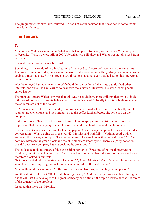The programmer thanked him, relieved. He had not yet understood that it was better not to thank them for such help.

## **The Testers**

#### **7.**

Monika was Walter's second wife. What was that supposed to mean, second wife? What happened to Veronika? Well, we were still in 2007, Veronika was still alive and Walter was not divorced from her either.

It was different. Walter was a bigamist.

Somehow, in this world of two blocks, he had managed to choose both women at the same time. That made him an outsider, because in this world a decision for something always meant a decision against something else. But he drove in two directions, and not even that he had to hide one woman from the other.

Monika enjoyed having a man to herself who didn't annoy her all the time, but also had other interests, and Veronika had learned to deal with the situation. However, she wasn't what people called happy.

The main advantage Walter saw was that this way he could have more children than with a single wife. An old sentence from his father was floating in his head: "Usually there is only divorce when the children are out of the house".

So Monika came to her office that day - in this case it was really her office -, went briefly into the room to greet everyone, and then straight on to the coffee kitchen before she switched on the computer.

In the corridors of her office there were beautiful landscape pictures, a visitor could have the impression that this company wanted to save the world - at least to save it on photo paper.

She sat down to have a coffee and look at the papers. A test manager approached her and started a conversation: "What's going on in the world?" Monika said truthfully: "Nothing good", which animated the colleague to reply: "I know that myself. I mean 'how is it expressed today'?". "The conflicts between the green block and the blue block are intensifying. There is a party donation scandal because a company has not declared its donations. "

The colleague took advantage of this to position her topic: "Speaking of political intervention. Couldn't you intervene to control it? The Greens have not yet delivered some corrections and we are therefore blocked in our tests ".

"Is it documented who is waiting here for whom?", Asked Monika. "Yes, of course. But we're in the same boat. The competing product has been announced for the next quarter!"

Monika thought for a moment: "If the Greens continue like this, we can buy them up soon."

Another short break. "But OK, I'll call them right away". And it actually turned out later during the phone call that the developer of the green company had only left the topic because he was not aware of the urgency of the problem.

It's good that there was Monika.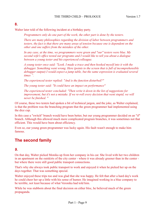Walter later told of the following incident at a birthday party.

*Programmers only do one part of the work, the other part is done by the testers.*

*There are many philosophies regarding the division of labor between programmers and testers, the fact is that there are many areas of tension because one is dependent on the other and one suffers from the mistakes of the other.*

*In any case, at the time, we programmers were green and "our" testers were blue. My second wife's office tested our programs and I would like to tell you about a dialogue between a young tester and his experienced colleague.*

*A young tester once said: "Look. I made a trace and then hooked myself into it with the debugger. Something went wrong. Here (points to the screen that is full of incomprehensible debugger output) I would expect a jump table, but the same expression is evaluated several times ".*

*The experienced tester replied: "And is the function disturbed?"*

*The young tester said: "It could have an impact on performance"*

*The experienced tester concluded: "Then write it down in the list of suggestions for improvement, but it's not a mistake. If we re-roll every decision that went stupid, we will never be finished. "*

Of course, these two testers had spoken a bit of technical jargon, and the joke, as Walter explained, is that the problem was the branching program that the green programmer had implemented using the dice cup.

In this case a "switch" branch would have been better, but our young programmer decided on an "if" branch. Although this allowed much more complicated program branches, it was sometimes not that efficient. This would have been about efficiency.

Even so, our young green programmer was lucky again. His fault wasn't enough to make him famous.

# **The second family**

#### *9.*

On that day, Walter picked Monika up from her company in his car. She lived with her two children in an apartment on the outskirts of the city center - where it was already greener than in the center but where there were still good public transport connections.

That's why she always took public transport to work and enjoyed it when he picked her up on the days together. That was something special.

Walter enjoyed these trips too and was glad that she was happy. He felt that after a hard day's work he could cheer her up a little with his sense of humor. He imagined working in a blue company to be terrible, not least because of what Veronika had told him.

While he was stubborn about the final decision on either bloc, he believed much of the green propaganda.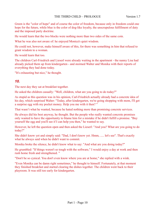Green is the "color of hope" and of course the color of freedom, because only in freedom could one hope for the future, while blue is the color of dog-like loyalty, the unscrupulous fulfillment of duty and the imposed party doctrine.

He would learn that the two blocks were nothing more than two sides of the same coin.

What he was also not aware of: he enjoyed Monica's quiet wisdom.

He could not, however, make himself aware of this, for there was something in him that refused to grant wisdom to a woman.

He would learn that too.

The children Carl-Friedrich and Lieserl were already waiting in the apartment - the nanny Lisa had already picked them up from kindergarten - and stormed Walter and Monika with their reports of everything they had done today.

"It's exhausting but nice," he thought.

#### *10.*

The next day they sat at breakfast together.

He asked the children casually: "Well, children, what are you going to do today?"

As stupid as this question was in his opinion, Carl-Friedrich actually already had a concrete idea of his day, which surprised Walter: "Today, after kindergarten, we're going shopping with mom, I'll get a surprise egg with my pocket money. Help you me with it then? "

That wasn't what he wanted, because he hated nothing more than promising concrete services.

He always did his best anyway, he thought. But the people who really wanted concrete promises only wanted to have the opportunity to blame him for a mistake if he didn't fulfill a promise. "Buy yourself the egg and you'll see if I can help you then," he wanted to say.

However, he left the question open and then asked the Lieserl: "And you? What are you going to do today?"

She didn't know yet and simply said: "Dad, I don't know yet. Hmm, ..... let's see". That's exactly what he always said when he didn't want to commit.

Monika broke the silence, he didn't know what to say: "And what are you doing today?"

He grumbled: "If things weren't so tough with the software," I would enjoy a day at work and then rush home fresh and strengthened. "

"Don't be so cynical. You don't even know where you are at home," she replied with a wink.

"Even Monika can be damn right sometimes," he thought to himself. Fortunately, at that moment they finished breakfast and started clearing the dishes together. The children went back to their playroom. It was still too early for kindergarten.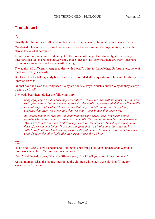# **The Lieserl**

#### *11.*

Usually the children were allowed to play before Lisa, the nanny, brought them to kindergarten.

Carl-Friedrich was an extroverted doer-type. He set the tone among the boys in his group and he always knew what he wanted.

Lieserl was more of an introvert and got to the bottom of things. Unfortunately, she had many questions that adults couldn't answer. Only much later did she learn that there are many questions that no one can answer, at least no earthly being.

The adults had different strategies to deal with Lieserl's thirst for knowledge. Unfortunately, none of them were really successful.

But Lieserl had a talking teddy bear. She secretly confided all her questions to him and he always knew an answer.

On that day she asked the teddy bear: "Why are adults always in such a hurry? Why do they always want to be first?"

The teddy bear then told her the following story:

*Long ago people lived in harmony with nature. Without war and without effort, they took the fruits from nature that they needed to live. On the whole, they were satisfied, even if their life* was not very comfortable. They accepted that they couldn't rule the world. And they *accepted that there was something that was many times bigger than they were.*

*But at that time there was still someone that everyone always had with them: a little troublemaker who tried every day to scare people. Fear of nature, and fear of other people. "You have to rule," he said, "otherwise you will be dominated". This sting sits deep in the flesh of every human being. This is the old game that we all play and that rules us. It is called "be first" and has been played since the fall of man. No one has ever won this game, even if one or the other looks like they are a winner for a while.*

## *12.*

"Oh," said Lieserl, "now I understand. But there is one thing I still don't understand: Why does mom work in a blue office and dad in a green one?"

"Yes," said the teddy bear, "that is a different story. But I'll tell you about it in a moment. "

At that moment Lisa, the nanny, interrupted the children while they were playing: "Time for kindergarten," she said.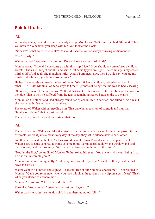## **Painful truths**

#### *13.*

A few days later, the children were already asleep, Monika and Walter were in bed. She said, "Have you noticed? Whenever you sleep with me, you look at the clock!"

"So what? Is that so reprehensible? Or should I accuse you of always thinking of diamonds?"

"You're nasty!"

Walter parried: "Speaking of common. Do you have a secret third child?"

Monika asked: "How did you come up with this stupid idea? How should a woman keep a child a secret?" Then she thought about it and said: "But actually you are right. The company is my secret third child". And again she thought a little: "And if I am mean now, then I would say: you are my third child - the way you behave sometimes."

He heard the words and made the best of them: "Well, if I'm so childish, let's play with each other ......". With Monika, Walter always felt that "lightness of being" that he was so badly lacking.

Of course, it was a little bit because Walter didn't want to choose one of the two blocks, the green or the blue. That is why he suffered from the fear of remaining seated between the two chairs.

Monika, on the other hand, had already found her "place in life", it seemed, and filled it. As a result, she was already further than many others.

She tolerated Walter without needing him. That gave her a position of strength and thus that "lightness of being" that he just lacked.

The next morning he should understand that too.

#### *14.*

The next morning Walter and Monika drove to their company in his car. As they just passed the belt of streets, where it jams almost every day of the day, they sat in silence next to each other.

Another car passed on the left. As luck would have it, it was Veronika's car. It stopped next to Walter's car. It came as it had to come at some point. Veronika rolled down the window and said, half seriously and half jokingly: "Well, am I the first one in the office this time?"

"No, I'm the first," contradicted Monika. Walter rolled his eyes: "You always with your 'being first'. This is an unbearable game! "

Monika said almost indignantly: "But everyone plays it. If you can't stand us, then you shouldn't have chosen us!"

Walter went to a hundred and eighty: "That's not true at all! You have chosen me." He explained to Monika: "Can't you remember when you took a look at the grades on my diploma certificate? That's when you started to ensnare me."

Monika: "Nonsense. Who came and offered?"

Veronika: "And you didn't give me any rest until I gave in!"

Walter was silent, let the situation sink in and then mumbled: "Shit!"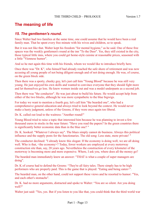## **The meaning of life**

### *15. The gentlemen's round.*

Since Walter had two families at the same time, one could assume that he would have been a real family man. That he spent every free minute with his wives and children, so to speak.

But it was not like that. Walter kept his freedom "for mental hygiene," as he said. One of these free spaces was the weekly gentlemen's round at the inn "To the Deer". Yes, they still existed in the city, those typical little inns, where you could get home-style cuisine at reasonable prices, seasoned with a little "Viennese humor".

And so he met again this time with his friends, whom we would like to introduce briefly here.

Once there was "Dr. K", who himself had already reached the safe shore of retirement and was now accusing all young people of not being diligent enough and of not doing enough. He was, of course, on the green block side.

Then there was a sporty, cheeky guy, let's just call him "Young Blood" because he was still very young. He just enjoyed his own skills and wanted to convince everyone that they should fight more and let themselves go less. He knew women inside out and was a model underpants as a second job.

Then there was "the conductor". He was just about to build his future. He would accept help from either of the two blocks, although he was more sympathetic to the blue bigwigs.

For today we want to mention a fourth guy, let's call him "the bearded one", who had a comprehensive general education and always tried to look beyond the context. He would never make a hasty judgment, unless of the Greens, if they were once again too liberal.

Dr. K. called out loud to the waitress: "Another round!"

Young Blood tried to raise a topic that interested him because he was planning to invest a few thousand euros in stocks in the near future: "Have you read the papers? In the green countries there is significantly better economic data than in the blue one? "

Dr. K. hooked: "Whatever I always say". The blues simply cannot do business. Always this political influence and the supply posts for the functionaries. The old song: Less state, more private! "

The conductor declined: "I already know this slogan: If the economy is doing well, we are all doing well. Who is that, <the economy>? Today, fewer workers are employed at every motorway construction site than, say, 20 years ago. Nevertheless the construction of every kilometer of the motorway is becoming more and more expensive. Where, I ask you, where does all the money go?

The bearded man immediately knew an answer: "THAT is what a couple of super managers are doing".

Dr. K of course had to defend the Greens: "They're all fairy tales. There simply has to be high performers who are properly paid. This is the game that is played: "Eating and being eaten>".

The bearded man, on the other hand, could not support these views and he resorted to humor: "Yes, and each other's stomachs".

Dr. K. had no more arguments, distracted and spoke to Walter: "You are so silent. Are you doing well?"

Walter just said: "Yes, yes. But if you listen to you like that, you could think that the third world war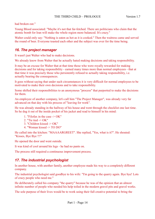had broken out."

Young Blood associated: "Maybe it's not that far-fetched. There are politicians who claim that the atomic bomb for Iran will make the whole region more balanced. It's crazy."

Walter could only say: "Nothing is eaten as hot as it is cooked." Then the waitress came and served the round of beer. Everyone toasted each other and the subject was over for the time being.

### *16. The project manager*

It wasn't just Walter who had to make decisions.

We already know from Walter that he actually hated making decisions and taking responsibility.

It may be an excuse for Walter that at that time those who were royally rewarded for making decisions and for taking responsibility - earned many times more than normal employees - that at that time it was precisely those who persistently refused to actually taking responsibility, i.e. actually bearing the consequences.

It goes without saying that under such circumstances it is very difficult for normal employees to be motivated to make their own decisions and to take responsibility.

Some shifted their responsibilities to an anonymous "process" that purported to make the decisions for them.

An employee of another company, let's call him "The Project Manager", was already very far advanced on that day with his process of "leaving for work".

He was already standing in the hallway of his house and went through the checklist one last time. So he dug it out of the inside pocket of his jacket and read to himself in his mind:

- 1. "Filofax in the case -> OK"
- 2. "Tie tied  $\sim$  OK"
- 3. "Children kissed -> OK"
- 4. "Woman kissed -> TO DO"

He called into the kitchen: "MAAAARGREET". She replied, "Yes, what is it?". He shouted: "Kisses, Bye Bye !!!"

He opened the door and went outside.

It was kind of cool around his legs - he had no pants on.

The process still required a continuous improvement process.

## *17. The industrial psychologist*

In another house, with another family, another employee made his way to a completely different company.

The industrial psychologist said goodbye to his wife: "I'm going to the quarry again. Bye bye! Lots of crazy people who need me."

He deliberately called his company "the quarry" because he was of the opinion that an almost infinite number of people who needed his help toiled in the modern gravel pits and gravel works.

The sole purpose of their lives would be to work using their full creative potential to bring the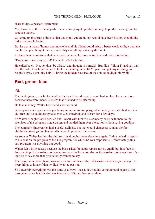shareholders a peaceful retirement.

Yes, those were the official goals of every company: to produce money, to produce money, and to produce money.

Covering up this truth a little so that you could endure it, that would have been his job, thought the industrial psychologist.

But he was a man of humor and maybe he and his clients could bring a better world to light than the one he had just thought. Perhaps in reality everything was very different.

Perhaps there were truths that were more personable, more optimistic and more motivating.

"Don't take it too easy again!" His wife called after him.

He called back, "No, no, don't be afraid." and thought to himself: "But didn't Viktor Frankl say that it is the task of each individual to look for meaning in his life? I just can't put any meaning on people's eyes, I can only help To bring the hidden treasures of the soul to daylight bit by bit. "

# **Red, green, blue**

#### *18.*

The kindergarten, to which Carl-Friedrich and Lieserl usually went, had to close for a few days because there were inconsistencies that first had to be cleared up.

Be that as it may, Walter had found a workaround.

A company kindergarten was just being set up in his company, which in any case still had too few children and so could easily take over Carl-Friedrich and Lieserl for a few days.

So Walter brought Carl-Friedrich and Lieserl with him to his company, went with them to the premises of the company kindergarten and handed them over there, not without saying goodbye.

The company kindergarten had a useful ugliness, but that would change as soon as the first children's drawings and handicrafts began to populate the rooms.

As soon as Walter had left the children, his thoughts were elsewhere again. Today he had to report to his boss on the progress of the sub-program for which he was responsible. Unfortunately, this sub-program was anything but good.

Walter felt a little queasy because the boss asked for status reports not by email, but in a face-toface meeting. Face-to-face conversations were far from popular, as face-to-face conversations often led you to say more than you actually wanted to say.

The boss, on the other hand, was very taciturn in face-to-face discussions and always managed to keep things to himself that he didn't want to pass on.

So outwardly everything was the same as always - he sat down at his computer and began to sift through emails - but this day was internally different from other days.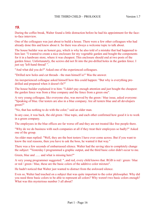During the coffee break, Walter found a little distraction before he had his appointment for the faceto-face interview.

One of the colleagues was just about to build a house. There were a few other colleagues who had already done this and knew about it. So there was always a welcome topic to talk about.

The house builder was an honest guy, which is why he also told of a mistake that had happened to him last: "I wanted to create a nice enclosure for my vegetable garden and bought the components for it in a hardware store, where it was cheapest. This enclosure should end at two posts of the garden fence. Unfortunately, the screws did not fit into the pre-drilled holes in the garden fence. I just say 'left-hand thread' ".

"And what did you do?" Asked one of the experienced colleagues.

"Drilled new holes and cut threads - the man himself is!" Was the answer.

An inexperienced colleague asked himself how this could happen: "But why is everything predrilled and prepared when it doesn't fit?"

The house builder explained it to him: "I didn't pay enough attention and just bought the cheapest: the garden fence was from a blue company and the fence from a green one".

A very young colleague, like everyone else, was moved by the green / blue issue, asked everyone: "Speaking of blue. Our testers are also in a blue company. Are all testers blue and all developers green?"

"No, that has nothing to do with the color," said an older man.

In any case, it was back, the old green / blue topic, and each other confirmed how good it is to work in a green company.

The employees in the blue offices are far worse off and they are not treated like free people there.

"Why do we do business with such companies at all if they treat their employees so badly?" Asked one of the group.

An older man replied: "Well, they are the best testers I have ever come across. But if you want to know the real reasons, then you have to ask the boss, he wanted it that way."

There was a few seconds of embarrassed silence. Walter had the saving idea to completely change the subject: "Yesterday I programmed a graphic output, and the third basic color didn't occur to me.

Green, blue and ...... and what is missing here?"

A very young programmer suggested: "..and red, every child knows that. RGB is red / green / blue or red / green / blue, these are the basic colors of the additive color mixture".

He hadn't noticed that Walter just wanted to distract from the awkward silence.

Even so, Walter had touched on a subject that was quite important to the color philosopher. Why did you need three basic colors to be able to represent all colors? Why weren't two basic colors enough? What was this mysterious number 3 all about?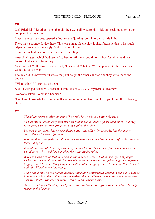Carl-Friedrich, Lieserl and the other children were allowed to play hide and seek together in the company kindergarten.

Lieserl, the curious one, opened a door to an adjoining room in order to hide in it.

There was a strange device there. This was a matt black color, looked futuristic due to its rough edges and was extremely ugly. And - it scared Lieserl.

Lieserl crouched in a corner and waited, trembling.

After 5 minutes - which had seemed to her an infinitely long time – a boy found her and was amazed that she was trembling.

"Are you cold?" He asked. She replied, "I'm scared. What is it?". She pointed to the device and waited for an answer.

The boy didn't know what it was either, but he got the other children and they surrounded the device.

"What is that?" Lieserl asked again.

A child with glasses slowly started: "I think this is ..... a ..... (mysterious) beamer".

Everyone asked: "What is a beamer?"

"Don't you know what a beamer is? It's an important adult toy," and he began to tell the following story.

#### *21.*

*The adults prefer to play the game "be first". So it's about winning the race.*

*So that this is not too easy, they not only play it alone - each against each other - but they form groups so that one group can play against the other.*

*But now every group has its neuralgic points - this office, for example, has the master controller as the neuralgic point.*

*Imagine that a competitor could get his teammates unnoticed at the neuralgic points and get them out again.*

*It would be possible to bring a whole group back to the beginning of the game and no one would know who would be punished for violating the rules.*

*When it became clear that the beamer would actually exist, that the transport of people without a trace would actually be possible, more and more groups joined together to form a large group. The same thing happened with another, large, group. This is how "the Greens" and "the Blues" came into being.*

*There could only be two blocks, because since the beamer really existed in the end, it was no longer possible to determine who was making the unauthorized move. But since there were only two blocks, you always knew "who could be harmed from".*

*You see, and that's the story of why there are two blocks, one green and one blue. The only reason is the beamer.*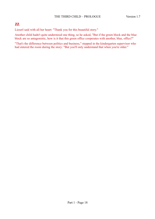Lieserl said with all her heart: "Thank you for this beautiful story."

Another child hadn't quite understood one thing, so he asked, "But if the green block and the blue block are so antagonistic, how is it that this green office cooperates with another, blue, office?"

"That's the difference between politics and business," stepped in the kindergarten supervisor who had entered the room during the story: "But you'll only understand that when you're older."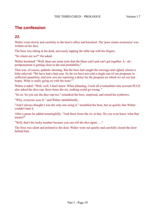# **The confession**

#### *23.*

Walter went slowly and carefully to the boss's office and knocked. The 'poor sinner awareness' was written on his face.

The boss was sitting at his desk, nervously tapping the table top with his fingers.

"So where are we?" He asked.

Walter hesitated: "Well, there are some tests that the blues can't and can't get together. A - uh postponement is getting close to the real probability."

That was, of course, pathetic cheating. But the boss had caught the message and sighed, almost a little relieved: "We have had a bad year. So far we have not sold a single one of our programs in sufficient quantities, and now you are reporting a delay for the program on which we set our last hopes. What is really going on with the tests? "

Walter evaded: "Well, well, I don't know. When planning, I took all eventualities into account PLUS also asked the dice cup: three times the six, nothing could go wrong. "

"So so. So you use the dice cup too," remarked the boss, surprised, and raised his eyebrows.

"Why, everyone uses it," said Walter uninhibitedly.

"And I always thought I was the only one using it," mumbled the boss, but so quietly that Walter couldn't hear it.

After a pause he added meaningfully: "And three times the six at that. Do you even know what that means?"

"Well, that's the lucky number because you can roll the dice again ....."

The boss was silent and pointed to the door. Walter went out quietly and carefully closed the door behind him.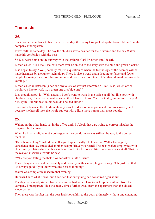# **The crisis**

### *24.*

Since Walter went back to his first wife that day, the nanny Lisa picked up the two children from the company kindergarten.

It was still the same day. The day the children saw a beamer for the first time and the day Walter made his confession with the boss.

So Lisa went home on the subway with the children Carl-Friedrich and Lieserl.

Lieserl asked: "Tell me, Lisa, will there ever be an end to the story with the blue and green blocks?"

Lisa began to say: "Well, actually it's just a question of when the technology of the beamer will be made harmless by a counter-technology. There is also a trend that is leading to fewer and fewer people following the color blue and more and more the color Green. A 'unilateral' world seems to be coming. "

Lieserl asked in between (since she obviously wasn't that interested): "You. Lisa, which office would you like to work in, a green one or a blue one? "

Lisa thought about it: "Well, actually I don't want to work in the office at all, but like now, with children. But, if you really want to know, then I have to think. Yes ... actually, hmmmmm ... cyan! Yes, cyan. But rainbow colors wouldn't be bad either "

She smiled because the children already took this division into green and blue so seriously and because she herself took the whole subject with a little more humor than most people.

#### *25.*

Walter, on the other hand, sat in the office until 8 o'clock that day, trying to correct mistakes he imagined he had made.

When he finally left, he met a colleague in the corridor who was still on the way to the coffee machine.

"Been here so long?" Asked the colleague hypocritically. He knew that Walter had a guilty conscience that day and added another scoop: "Have you heard? The boss prefers employees with clear family relationships: either single or fixed. But he doesn't like transition stages at all. That just makes you insecure at work, he says. "

"Why are you telling me that?" Walter asked, a little unsure.

The colleague answered deliberately and casually, with a small, feigned shrug: "Oh, just like that, it's always good if you know what the boss is thinking".

Walter was completely insecure that evening.

He wasn't sure what it was, but it seemed that everything had conspired against him.

The day had already started badly because he had to beg Lisa to pick up the children from the company kindergarten. This was many times further away from the apartment than the closed kindergarten.

Then there was the fact that the boss had shown him to the door, ultimately without understanding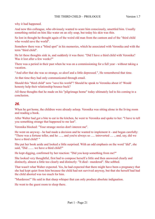why it had happened.

And now this colleague, who obviously wanted to scare him consciously, unsettled him. Usually something rattled on him like water on an oily soap, but today his skin was thin.

So lost in thought he thought again of the weird old man from the canteen and of the "third child who would save the world".

Somehow there was a "blind spot" in his memories, which he associated with Veronika and with the term "third child".

He let these thoughts sink in, and suddenly it was there: "Did I have a third child with Veronika? Was it lost after a few weeks?"

There was a period in their past when he was on a commissioning for a full year - without taking a vacation.

"And after that she was so strange, so aloof and a little depressed.", He remembered that time.

At that time they had only communicated through email.

Should this "third child" now "save his world"? Should he speak to Veronika about it? Would honesty help their relationship bounce back?

All these thoughts that he made on his "pilgrimage home" today ultimately led to his coming to a conclusion.

#### *26.*

When he got home, the children were already asleep. Veronika was sitting alone in the living room and reading a book.

After Walter had got a bite to eat in the kitchen, he went to Veronika and spoke to her: "I have to tell you something strange that happened to me last".

Veronika blocked: "Your strange stories don't interest me".

He went on anyway - he had made a decision and he wanted to implement it - and began carefully: "There was a fortune teller, and he ....., and you're always so ..... introverted .... ., and, say, did we have a third child? "

She put her book aside and looked a little surprised. With an odd emphasis on the word "did", she said, "Did ....... we have a third child?"

He kept digging, confirmed by her reaction: "Did you keep something from me?"

She looked very thoughtful, first had to compose herself a little and then answered clearly and distinctly, almost a little too clearly and distinctly: "It died - murdered". She sobbed.

That wasn't what Walter expected. Yes, he had expected that there might have been a pregnancy that she had kept quiet from him because the child had not survived anyway, but that she herself had had the child aborted was too much for him.

"Murderess!" He said in that sharp whisper that can only produce absolute indignation.

He went to the guest room to sleep there.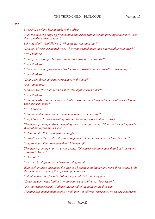*I was still working late at night in the office.*

*Then the dice cup crept up from behind and asked with a certain piercing undertone: "Well, did we make a mistake today?"*

*I shrugged off: "No! How so? What makes you think that?"*

*"Did you always use named types when you created more than one variable with them?" "Yes I think so."*

*"Have you always packed your arrays and structures correctly?"*

*"Yes I think so."*

*"Have you always programmed as locally as possible and as globally as necessary?" "Yes I think so."*

*"Didn't you forget an empty procedure in the code?"*

*"No, I hope not."*

*"Did you weigh switch () and if-then-else against each other?"*

*"Yes I think so."*

*"Did you make sure that every variable always has a defined value, no matter which path your program takes?"*

*"Yes, I hope so."*

*"Did you understand pointer arithmetic and use it correctly?"*

*"Yes, I hope so". I was sweating now and becoming more and more meek.*

*The dice cup changed from a teaching tone to a military tone: "Now, really, kidding aside: What about information security?"*

*"What about it?" I asked unsuspectingly.*

*"Weren't we at the boss's today and confessed to him that we had used the dice cup?"*

*"Yes, so what? Everyone does that," I fended off.*

*The dice cup changed into a cynical tone: "Of course everyone does that! But is everyone allowed to know?"*

*"Why not?"*

*"We are a bit difficult to understand today, right?"*

*With each of these questions, the dice cup became a bit bigger and more threatening, I felt the heat, as an abyss of fire opened up behind me.*

*"I don't understand," I said, holding my hands in front of my face.*

*"Does the gentleman 'difficult-of-concept' want to blow up the system?"*

*"No, but which system?" I almost despaired of the logic of the dice cup.*

*The dice cup sighed menacingly: "Well, then I'll tell you. There must be an abyss between*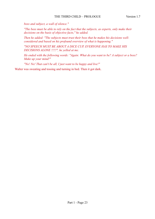*boss and subject, a wall of silence."*

*"The boss must be able to rely on the fact that the subjects, as experts, only make their decisions on the basis of objective facts," he added.*

*Then he added: "The subjects must trust their boss that he makes his decisions wellconsidered and based on his profound overview of what is happening."*

*"NO SPEECH MUST BE ABOUT A DICE CUP, EVERYONE HAS TO MAKE HIS DECISIONS ALONE !!!!!", he yelled at me.*

*He ended with the following words: "Again: What do you want to be? A subject or a boss? Make up your mind!"*

*"No! No! That can't be all, I just want to be happy and live!"*

Walter was sweating and tossing and turning in bed. Then it got dark.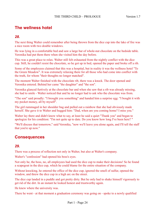## **The wellness hotel**

#### *28.*

The next thing Walter could remember after being thrown from the dice cup into the lake of fire was a nice room with two double windows.

He was lying in a comfortable bed and saw a large bar of whole-nut chocolate on the bedside table. Veronika had put them there when she visited him the day before.

This was a great place to relax. Walter still felt exhausted from the nightly conflict with the dice cup. Still, he couldn't resist the chocolate, so he got up in bed, opened the paper and broke off a rib.

Some of the employees claimed that this was a hospital, but in reality it was the wellness hotel "To the Green Meadow". It was extremely relaxing there for all those who had come into conflict with the truth, for whom "their thoughts no longer matched".

The moment Walter finished with the chocolate rib, there was a knock. The door opened and Veronika entered. Behind her came "the daughter" and "the son".

Veronika glanced furtively at the chocolate bar and when she saw that a rib was already missing, she had to smile - Walter noticed that and he no longer had to ask who the chocolate was from.

"The son" said proudly: "I brought you something" and handed him a surprise egg: "I bought it with my pocket money, all by myself".

The girl rummaged in her shoulder bag and pulled out a rainbow that she had obviously made herself. She gave it to Walter and hugged him: "Dad, when are you coming home? I miss you."

Walter lay there and didn't know what to say, at least he said a quiet "Thank you" and began to apologize for his condition: "I'm not quite up to date. Do you know how long I've been here? "

"We'll discuss that tomorrow," said Veronika, "now we'll leave you alone again, and I'll tell the staff that you're up now."

## **Consequences**

#### *29.*

There was a process of reflection not only in Walter, but also at Walter's company.

Walter's "confession" had opened his boss's eyes.

Not only he, the boss, no, all employees had used the dice cup to make their decisions! So he found a scapegoat in the dice cup, which he could blame for the entire situation of the company.

Without knocking, he entered the office of the dice cup, ignored the smell of sulfur, opened the window, and threw the dice cup in a high arc on the street.

The dice cup landed in a puddle and got pretty dirty. But he only had to shake himself vigorously to get rid of the dirt. In an instant he looked honest and trustworthy again.

He knew where the university was.

There he went - at that moment a graduation ceremony was going on - spoke to a newly qualified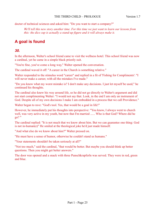#### THE THIRD CHILD – PROLOGUE Version 1.7

doctor of technical sciences and asked him: "Do you want to start a company?"

*We'll tell this new story another time. For this time we just want to learn our lessons from this: the dice cup is actually a stand-up figure and it will always make it.*

# **A goal is found**

#### *30.*

In the afternoon, Walter's school friend came to visit the wellness hotel. This school friend was now a cardinal, yet he came in a simple black priestly suit.

"You're fine, you've come a long way," Walter opened the conversation.

The cardinal waved it off: "A career in the Church is something relative."

Walter responded to the stimulus word "career" and replied in a fit of 'Fishing for Compliments': "I will never make a career, with all the mistakes I've made."

"Do you know what my worst mistake is? I don't make any decisions. I just let myself be used," he continued his thoughts.

The cardinal also knew his way around life, so he did not go directly to Walter's argument and did not start complimenting Walter: "I would not say that. Look, in the end I am only an instrument of God. Despite all of my own decisions I make I am embedded in a process that we call Providence."

Walter began to rave: "God's tool. Yes, that would be a goal in life!"

However, he immediately put his thoughts into perspective: "You know, I always went to church well, was very active in my youth, but now that I'm married ...... Who is that God? Where did he go? "

The cardinal replied: "It is not much that we know about him. But we can guarantee one thing: God is not in-human(e)" He smiled at the theological joke he'd just made himself.

"And what else do we know about him?" Walter pressed on.

"He must have a sense of humor, otherwise he couldn't stand us humans."

"Your statements shouldn't be taken seriously at all?"

"Not too much," said the cardinal, "that would be better. But maybe you should think up better questions. Then you might get better answers."

The door was opened and a snack with three Punschkrapferln was served. They were in red, green and blue.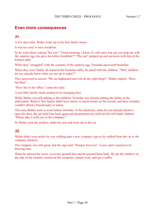## **Even more consequences**

#### *31.*

A few days later, Walter woke up in his first family home.

It was too early to have breakfast.

So he went about waking "his son": "Good morning. I know it's still early, but can you help me with the surprise egg you gave me before breakfast?" "The son" jumped up and sat down with him at the kitchen table.

While they "struggled" with the contents of the surprise egg, Veronika uncovered breakfast.

When they were finally all seated at the breakfast table, he joked with the children: "Well, children, do you already know what you are up to today?"

They answered in unison: "We are haphazard and will do the right thing!". Walter replied: "Have fun then".

"Have fun in the office," came the reply.

A real little family ritual seemed to be emerging here.

While Walter was still talking to the children, Veronika was already putting the dishes in the dishwasher. Walter's first family didn't have nearly as much money as the second, and they certainly couldn't afford a housekeeper or nanny.

This time Walter went to work before Veronika. In the anteroom, when he was already about to open the door, the girl held him back again and demonstratively held out the self-made rainbow: "Please take it with you to the company."

So Walter took the rainbow under his arm and went out to his car.

#### *32.*

Walter didn't even notice he was walking past a new company sign as he walked from the car to the company entrance.

The company was still green, but the sign said: "Semper Services". A new spirit seemed to be blowing here.

When he entered the room, everyone greeted him and he greeted them back. He put the rainbow on the side of the monitor, turned on the computer, started work, and got a coffee.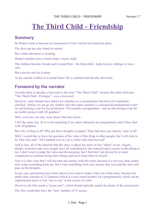# **The Third Child - Friendship**

## **Summary**

So Walter wants to become an instrument of God. And he has found his place.

The dice cup has also found its master.

But a little adventure is looming.

Walter's families have a third child, a foster child.

The children become friends and Conrad Peter - the third child - helps his new siblings to win a race.

But even he can't do it alone.

At the end the conflict in Conrad Peters' life is clarified and thereby alleviated.

## **Foreword by the narrator**

Actually there is already a foreword to the story "The Third Child", because the entire first part - "The Third Child - Prologue" - was a foreword.

However, some friends have drawn my attention to a circumstance that has to be explained clarified - before we can go any further. Isn't this entire narrative a commercial promotional event? An advertising event for my profession - I'm actually a programmer - and an advertising event for my hobby project with 3D graphics?

Well, everyone can only write about what they know.

I feel the same way. So it is not surprising if my main characters are programmers and if they deal with 3D graphics.

But why writing at all? Why put these thoughts on paper? Does that have any literary value at all?

Well, I would like to leave the question of the value of this thing to other people, but I will stick to St. Paul who said: "All I handed over to you is what I also had received"

And in fact, all of the material that this story is about has more or less "fallen" to me. Angels, drunks, homeless and crazy people have all contributed to this material and it seems worth telling to me. I don't want to judge the value and the meaning, but I find that I am driven by an inner compulsion to continue doing these things and not to keep them to myself.

Now it is also clear that I will not earn any money with this story, because it is not you, dear reader, who wants something from me, but I want something from you, namely that you read the story and pass on the thoughts.

In any case, precautions have been taken if you want to make a film out of this story, because the entire story consists of 32 chapters (which is a nice round number for a programmer), which can be implemented more or less "one to one" in the scenes of a film.

However, the film needs a "scene zero", which should optically match the theme of the second part.

The film would then have the "nice" number of 33 scenes.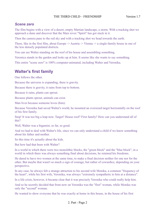#### THE THIRD CHILD – FRIENDSHIP Version 1.7

#### *Scene zero*

The film begins with a view of a desert, empty Martian landscape, a storm. With a tracking shot we approach a dune and discover that the Mars rover "Spirit" has got stuck in it.

Then the camera pans to the red sky and with a tracking shot we head towards the earth.

There, like in the first film, about Europe -> Austria -> Vienna -> a single-family house in one of the less densely populated districts.

You can see Walter standing on the roof of his house and assembling something.

Veronica stands in the garden and looks up at him. It seems like she wants to say something.

This entire "scene zero" is 100% computer-animated, including Walter and Veronika.

## **Walter's first family**

One follows the other.

Because the universe is expanding, there is gravity.

Because there is gravity, it rains from top to bottom.

Because it rains, plants can sprout.

Because plants sprout, animals can exist.

Man lives because someone loves (him).

Because Veronika had saved Walter's world, he mounted an oversized target horizontally on the roof of his first family.

Stop! It was too big a leap now. Target? House roof? First family? How can you understand all of this?

Well, Walter was a bigamist, so far, so good.

And we had to deal with Walter's life, since we can only understand a child if we know something about his father and mother.

So this time it's actually about the kids.

But how had that been with Walter?

In a world in which there were two monolithic blocks, the "green block" and the "blue block", in a world in which there was always something final about decisions, he retained his freedoms.

He dared to have two women at the same time, to make a final decision neither for one nor for the other. But maybe that wasn't so much a sign of courage, but rather of cowardice, depending on your perspective.

In any case, he always felt a strange attraction to his second wife Monika, a common "frequency of the heart", while his first wife, Veronika, was always "extremely sympathetic to him at a distance".

In a life crisis, however, it became clear that it was precisely Veronika who could really help him.

And so he secretly decided that from now on Veronika was the "first" woman, while Monika was only the "second" woman.

He wanted to show everyone that he was exactly at home in this house, in the house of his first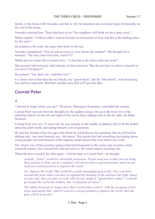#### THE THIRD CHILD – FRIENDSHIP Version 1.7

family, in the house with Veronika, and that is why he mounted said oversized target horizontally on the roof of the house.

Veronika watched him: "Does that have to be? The neighbors will think we have gone crazy".

Walter replied: "I told you that I want to become an instrument of God, and this is the landing place for the spirit."

He pointed to his work, the target that shone in the sun.

Veronika complained: "You are just as crazy as your friend, the cardinal". She thought for a moment: "The idea came from him, wasn't it?"

Walter put on a mine like a western hero: "A man has to do what a man has to do!".

She insisted, half seriously, half jokingly, at least annoyed: "But do you have to relieve yourself on our roof of all places?"

He grinned: "Yes, that's my <stabilitas loci>"

It is funny that at that time the two blocks, the "green block" and the "blue block", were becoming less and less important. But that's another story that we'll get into later.

## **Conrad Peter**

#### *1.*

"And never forget where you are!" The priest, Monsignor Kaminsky, concluded the sermon.

Conrad Peter was torn from his thoughts by the sudden silence. He sat in the front row of the suburban church. To the left and right of him sat his three siblings and on the far right, his father Heinrich.

Conrad Peter was now 13 years old. He was actually in the middle of puberty, full of all the doubts about the adult world, and asking himself a lot of questions.

He had few friends of his own age with whom he could discuss his questions. But he still had his siblings and - one must honestly say - this priest. This parish also had something fascinating about young people, not least because of the separate youth masses that were held every week.

The church was of that peculiar ugliness that had blossomed in the sixties and seventies of the twentieth century, but Conrad Peter did not notice it. He wasn't used to anything else.

When the priest stood at the altar again - with his back to Conrad Peter - he thought:

*Actually, "priest" would be a desirable profession. People need you so that you can bring their prayers to God; you as a mediator will always have a special position, and you can work in a central position to improve the world.*

*Yes, improve the world. That would be a really meaningful goal in life. Once you have reached the point where you have recognized the meaning of life and have the right values on your side, then you have to work with all your might to "spread these values". It should go around the world like wildfire, this "civilization of values".*

*The adults obviously no longer have their world under control - with the exception of this priest and maybe dad - and if I work in a central position to improve the world, then the girls will be at my feet.*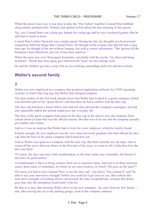When the prayer was over, it was time to pray the "Our Father" together. Conrad Peter babbled along almost automatically. Nobody had spoken to him about the true meaning of this prayer.

Yes, yes, Conrad Peter was a deep guy despite his young age and he was a technical genius. But he still had so much to learn.

Conrad Peter's father Heinrich was a single parent. During the fair, his thoughts revolved around completely different things than Conrad Peters. He thought of the woman who had left him a long time ago, he thought of her not without longing, but with a certain callousness: "She ignored all the freedoms I had offered her, just out of fear their relatives. "

When the mass was over, Monsignor Kaminsky concluded with the words: "Go there and bring freedom!". Words that once again gave Heinrich the "kick" for the coming week.

He and his children got into a jeep with an eye-catching camouflage paint job and drove home.

# **Walter's second family**

#### *2.*

Walter was now employed in a company that produced application software for UNIX operating systems. It wasn't that long ago that Walter had changed company.

The dear readers of the first book already know that Walter had worked in a green company (which was therefore part of the "green block") and that there he had a conflict with the dice cup.

The dice cup had been a funny fellow who had not only advised the company's managers, but had also repeatedly talked the normal employees into everyday life.

The boss of the green company had removed the dice cup at the time to save the company from certain doom (at least that was the official reason). But that was of no use and the company actually got smaller and weaker.

And so it was no surprise that Walter had to look for a new employer, which he luckily found.

Funnily enough, his new employer was the very same university graduate who had offered the dice cup after the boss of the green company had kicked him out.

And so Walter was again in a company with the dice cup. But that's actually not our topic. Just to round off the curve that was drawn in the first part of the story, we want to tell a little here how the dice cup fared.

Of course, the dice cup was a little troublemaker, as the dear reader may remember, but doesn't it also have its good points?

A troublemaker is there to bring systems from rest to transient states. And isn't it in these transient states, these states of imbalance, in which we are most creative, in which "life goes on the most"?

Of course you had to have learned "how to use the dice cup", you had to "have tamed it" and "be able to use your innovative strength" before you could let it get close to you. But without this innovative strength, everything always ran towards the state of equilibrium, towards that dreary gray that only the uninspired could really wish for.

Be that as it may, that morning Walter drove to his new company - he came from his first family and, after leaving the car in the parking garage, went to the company entrance.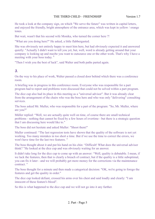#### THE THIRD CHILD – FRIENDSHIP Version 1.7

He took a look at the company sign, on which "We serve the future" was written in capital letters, and enjoyed the friendly, bright atmosphere of the entrance area, which was kept in yellow / orange tones.

But wait, wasn't that his second wife Monika, who turned the corner here ?!

"What are you doing here?" He asked, a little flabbergasted.

She was obviously not entirely happy to meet him here, but had obviously expected it and answered quietly: "Actually I didn't want to tell you yet, but, well, word is already getting around that your company is looking up and maybe you want to outsource one or the other work. That's why I have a meeting with your boss today. "

"Then I wish you the best of luck", said Walter and both paths parted again.

#### *3.*

On the way to his place of work, Walter passed a closed door behind which there was a conference room.

A briefing was in progress in this conference room. Everyone who was responsible for a part program had to report and problems were discussed that could not be solved within a part program.

The dice cup also had its place in this meeting as a "universal advisor". But it was already clear from the arrangement of the chairs who was the boss here and who was only "delivering" consulting services.

The boss asked Mr. Muller, who was responsible for a part of the program: "So, Mr. Muller, where are you?"

Müller replied: "Well, we are actually quite well on time, of course there are small technical problems - nothing that cannot be fixed by a few hours of overtime - but there is a strategic question that I am discussing here would like to."

The boss did not hesitate and asked Muller: "Shoot them!"

Muller continued: "The last regression tests have shown that the quality of the software is not yet working. Too many mistakes in too short a time. But if we use the time to correct the errors, we won't have time for the last two features. "

The boss thought about it and put his hand on his chin: "Difficult! What does the universal advisor think? "He looked at the dice cup and was obviously waiting for an answer.

It didn't take long for the dice cup to come up with an answer: "Well, quality is debatable. I mean, if we lack the features, then that is clearly a breach of contract, but if the quality is a little suboptimal, you can fix it later - and we will probably get more money for the corrections via the maintenance contract. "

The boss thought for a minute and then made a categorical decision: "OK, we're going to forego the features and get the quality in order."

The dice cup looked defiant, crossed his arms over his chest and said loudly and clearly: "I am innocent of these feature's blood".

So this is what happened to the dice cup and we will not go into it any further.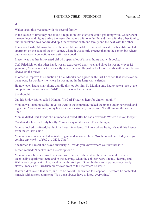#### THE THIRD CHILD – FRIENDSHIP Version 1.7

#### *4.*

Walter spent this weekend with his second family.

In the course of time they had found a regulation that everyone could get along with. Walter spent the evenings and nights during the week alternately with one family and then with the other family, but the weekend was not divided up. One weekend with one family and the next with the other.

The second wife, Monika, lived with her children Carl-Friedrich and Lieserl in a beautiful rented apartment on the edge of the city center, where it was a little greener than in the center, but where public transport connections were still very good.

Lieserl was a rather introverted girl who spent a lot of time at home and with books.

Carl-Friedrich, on the other hand, was an extroverted doer-type, and since he was now over 12 years old, Monika never knew exactly where he was. He just had a lot of friends with whom he was always on the move.

In order to improve this situation a little, Monika had agreed with Carl-Friedrich that whenever he went away he would write where he was going in the large wall calendar.

He now even had a smartphone that did this job for him. So Monika only had to take a look at the computer to find out where Carl-Friedrich was at the moment.

She thought.

On this Friday Walter called Monika: "Is Carl-Friedrich here for dinner tonight?"

Monika was standing at the stove, so went to the computer, tucked the phone under her cheek and logged in: "Wait a minute, today his location is extremely imprecise, I'll call him on the second line."

Monika dialed Carl-Friedrich's number and asked after he had answered: "Where are you today?"

Carl-Friedrich replied only briefly: "I'm not saying it's a secret" and hung up.

Monika looked confused, but luckily Lieserl interfered: "I know where he is, he's with his friends from the go-kart club."

Monika was now connected to Walter again and answered him: "No, he is not here today, are you coming anyway? ..... Yes? ..... OK !, Ciao".

She turned to Lieserl and asked curiously: "How do you know where your brother is?"

Lieserl replied: "I hacked into his smartphone."

Monika was a little surprised because this experience showed her how far the children were technically superior to them, and in the evening, when the children were already sleeping and Walter was lying next to her, she dealt with this topic: "Our children are slipping away nicely slowly. Today Carl-Friedrich didn't even want to tell me where he was. "

Walter didn't take it that hard, and - to be honest - he wanted to sleep too. Therefore he contented himself with a short comment: "You don't always have to know everything."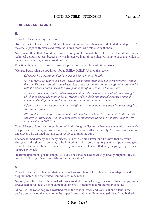## **The assassination**

#### *5.*

Conrad Peter was in physics class.

His physics teacher was one of those ultra-religious combat atheists who defended the dogmas of the atheist pope with claws and teeth, no, much more, who attacked with them.

No wonder, then, that Conrad Peter was not on good terms with him. However, Conrad Peter was a technical genius not least because he was interested in all things physics. In spite of that aversion to the teacher, he still got home good grades.

This time, however, he allowed himself a piece that earned him additional work.

"Conrad Peter, what do you know about Galileo Galilei?" Asked the teacher.

*Of course he's asking me that because he knows I go to church.*

*Now he wants to hear again that Galileo did not just claim that the earth revolves around the sun. That was already a tough step back then, and in the end it brought him into conflict with the Church that he tried to move people out of the center of the universe.*

*No, he wants to hear that Galileo also formulated the principle of relativity, according to which it is physically impossible to give one of two different inertial systems a special position. The different coordinate systems are therefore all equivalent.*

*Of course he wants me to say that all religions are equivalent, they are also something like coordinate systems.*

*All coordinate systems are equivalent. Pah. Let him see how the complexity in the mobile end devices increases when they now have to support all three positioning systems: GPS, GLONASS and GALILEO.*

Conrad Peter did not want to get involved in this lengthy discussion because the atheist was clearly in a position of power, and so he said only succinctly, but still subversively: "He was some kind of unbeliever who claimed that the earth revolves around the sun . "

The teacher had already had many discussions with Conrad Peter, and he knew that he would always take the shorter argument, so he limited himself to enjoying his position of power and gave Conrad Peter an additional exercise: "Here you have a book about that are you going to give us a lecture next week. "

He rummaged in his pocket and pulled out a book that he had obviously already prepared. It was entitled: "The Significance of Galileo for the Occident".

#### *6.*

Conrad Peter had a robot dog that he always took to school. This robot dog was adaptive and programmable, and that suited Conrad Peter very much.

Not only was he a skilled hobbyist who was good at using soldering irons and alligator clips, but he always had good ideas when it came to adding new functions to a programmable device.

Of course, the robot dog was switched off in the school lesson and lay silent and silent in the pocket, but now, on the way home, he hopped around Conrad Peter, wagged his tail and barked.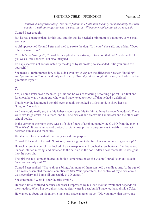*Actually a dangerous thing. The more functions I build into the dog, the more likely it is that one day it will no longer do what I want, that it will become self-employed, so to speak.*

Conrad Peter thought.

But he had concrete plans for his dog, and for that he needed a minimum of autonomy, as we shall see later.

A girl approached Conrad Peter and tried to stroke the dog. "Is it cute," she said, and added, "Does it have a name too?"

"Yes, he's the 'Avenger'", Conrad Peter replied with a strange intonation that didn't bode well. The girl was a little shocked, but also intrigued.

Perhaps she was not so fascinated by the dog as by its creator, so she added, "Did you build this yourself?"

She made a stupid impression, so he didn't even try to explain the difference between "building" and "programming" to her and only said briefly: "No. My father bought it for me, but I added a few gimmicks myself" .

#### *7.*

Yes, Conrad Peter was a technical genius and he was considering becoming a priest. But first and foremost, he was a young guy who would have loved to show off that he had a girlfriend.

That is why he had invited the girl, even though she looked a little stupid, to show her his "kingdom" one day.

And you could really say that his father made it possible for him to have his own "kingdom". There were two large desks in his room, one full of electrical and electronic handicrafts and the other with school books.

In the corner of the room there was a life-size figure of a robot, namely the C-3PO from the movie "Star Wars". It was a humanoid protocol droid whose primary purpose was to establish contact between humans and machines.

We shall see to what extent it actually served this purpose.

Conrad Peter said to the girl: "Look out, now it's going to be fun. I'm sending my dog on a trip! "

He took a remote control that looked like a smartphone and touched a few buttons. The dog raised its head, started moving, and marched to the cat flap in the door. After a few moments he was gone into the open air.

The girl was not so much interested in this demonstration as she was in Conrad Peter and asked: "Are you an only child?"

Conrad Peter replied: "I have three siblings, but none of them can hold a candle to me. At the age of 8 I already assembled the most complicated Star Wars spaceships, the control of my electric train was legendary and I am still unbeatable at 3D games ".

She continued: "What is your favorite drink?".

He was a little confused because she wasn't impressed by his loud mouth: "Well, that depends on the situation. When I'm very thirsty, pure, clear water is best, but if I have to, I also drink a Coke. "

He wanted to focus on his favorite topic and made another move: "Did you know that the young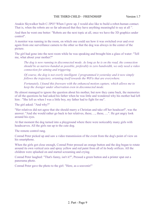Anakin Skywalker built C-3PO? When I grow up, I would also like to build a robot-human contact. That is, when the robots are so far advanced that they have anything meaningful to say at all".

And then he went one better: "Robots are the next topic at all, once we have the 3D graphics under control".

A monitor was running in the room, on which one could see how it was switched over and over again from one surveillance camera to the other so that the dog was always in the center of the picture.

The girl had gone into the next room while he was speaking and brought him a glass of water: "Tell me, what about your mother?"

*The dog is now running in disconnected mode. As long as he is on the road, the connection should be as narrow-banded as possible, preferably to zero bandwidth, we only need a video connection for aiming and triggering.*

*Of course, the dog is not overly intelligent. I programmed it yesterday and it now simply follows the trajectory, orienting itself towards the WiFis that are everywhere.*

*Fortunately, I found this freeware with the enhanced motion capture, which allows me to keep the Avenger under observation even in disconnected mode.*

He almost managed to ignore the question about his mother, but now they came back, the memories of all the questions he had asked his father when he was little and wondered why his mother had left him : "She left us when I was a little boy, my father had to fight for me".

The girl asked: "And why?"

"Her relatives did not agree that she should marry a Christian and take off her headscarf", was the answer: "And she would rather go back to her relatives, these, ..., these, ....". He got angry look around his eyes.

At that moment the dog turned into a playground where there were noticeably many girls with headscarves. All the girls ran up to the cute dog.

The remote control rang.

Conrad Peter picked up and saw a video transmission of the event from the dog's point of view on his smartphone.

When the girls got close enough, Conrad Peter pressed an orange button and the dog began to rotate around its own vertical axis and spray yellow and red paint from all of its body orifices. All the children were splashed on and started screaming and crying.

Conrad Peter laughed: "That's funny, isn't it?", Pressed a green button and a printer spat out a panorama photo.

Conrad Peter gave the photo to the girl: "Here, as a souvenir!"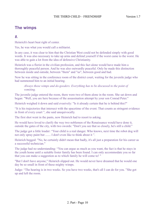# **The wimps**

### *8.*

Heinrich's heart beat right of center.

Yes, he was what you would call a militarist.

In any case, it was clear to him that the Christian West could not be defended simply with good words. It was also necessary to take up arms and defend yourself if the worst came to the worst. He was able to gain a lot from the idea of defensive Christianity.

Heinrich was a florist in the civilian profession, and this fact alone would have made him a thoroughly peaceful person. And he was also outwardly peaceful. Only he made this distinction between inside and outside, between "them" and "us", between good and bad.

Now he was sitting in the conference room of the district court, waiting for the juvenile judge who had summoned him to an initial hearing.

*Always those wimps and do-gooders. Everything has to be discussed to the point of vomiting.*

The juvenile judge entered the room, there were two of them alone in the room. She sat down and began: "Well, you are here because of the assassination attempt by your son Conrad Peter."

Heinrich weighed it down and said evasively: "Is it already certain that he is behind this?"

"It is his trajectories that intersect with the spacetime of the event. That counts as stringent evidence in front of every court ", she said unequivocally.

The first shot went in the pants, now Heinrich had to resort to asking.

He would have loved to clarify the way two noblemen of the Renaissance would have done it, outside the gates of the city, with two swords: "Don't you see that so closely, he's still a child."

The judge got a little louder: "Your child is a real danger. Who knows, next time the robot dog will not only spray paint but ....... I don't even like to think about it ".

Heinrich begged: "No, he certainly didn't mean that badly, it's all just a preparation for his career as a successful technician."

The judge had no understanding: "You can argue as much as you want, the fact is that he stays in the youth home until a suitable foster family has been found. I can only accommodate you so far that you can make a suggestion as to which family he will come to! "

"But I don't have anyone," Heinrich slipped out. He would never have dreamed that he would one day be so small in front of these mighty wimps.

Judge: "The hearing is in two weeks. So you have two weeks, that's all I can do for you. "She got up and left the room.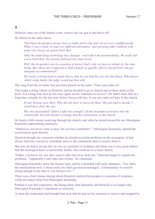### *9.*

Heinrich came out of the district court, went to the car, got in and drove off.

He turned on the radio music.

*That these do-gooders always have to make such a big deal out of every youthful prank. When I was a child, we had very different adventures. And spraying other children with paint was always an option back then.*

*Only the underlying technology has changed - and with it the monitorability. We really did worse back then, but nobody followed our trajectories.*

*Well, the do-gooders are in a position of power, that's why we have to submit for the time being. But where am I supposed to find a family so quickly where Conrad Peter can get adequate accommodation?*

*He needs a strong hand to guide him so that he can find his way into the future. Who knows which wimp family the judge would put him with.*

The song from the seventies has just been played on the radio: "Turn your radio on".

That made a string vibrate in Heinrich, and he decided to go to church and sit there alone in the pews. For a long time now he has once again set his "antennas to receive". He hadn't done that in a long time, actually for the last time before Soraya left him. It was nice and cool here in the church.

*If only Soraya were there. Why did she have to leave me then? She just had to decide, I would have done the rest.*

*Was she dissatisfied? Didn't I offer her enough? All the beautiful excursions into the countryside, the joint theater evenings and the celebrations in the church.*

He heard a little mouse scurrying through the church, and when he turned around he saw Monsignor Kaminsky approaching cautiously.

"Otherwise you never come to pray. Do you have problems? ", Monsignor Kaminsky opened the conversation quite directly.

Heinrich thought for a moment whether he should reveal his problems to the monsignor. It had always been his concern to contribute more to the community than to receive from it.

But now, he had to accept this, he was in a position of weakness and there was a very good chance that the monsignor knew a trustworthy family who could act as a foster family.

"Father, you know my son, they want to take him away from me." Heinrich began to explain his problems. "Apparently I can't take care of him," he continued.

Monsignor Kaminsky knew the Soraya story, and he concluded with razor sharpness: "Yes, that's the ramifications now. I always told you 'don't get mixed marriages'. Unfortunately we weren't strong enough at the time to win Soraya over. "

There was a brief silence during which Heinrich realized that people in a position of weakness could not expect help from Monsignor Kaminsky.

Perhaps it was this experience, this being alone, that ultimately led Heinrich to no longer take Monsignor Kaminsky's statements so seriously.

At least this realization had brought him now, that he had set his antennas to receive and stopped by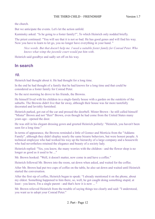the church.

But we anticipate the events. Let's let the action unfold.

Kaminsky asked: "Is he going to a foster family?", To which Heinrich only nodded briefly.

The priest continued: "You will see that it is not so bad. He has good genes and will find his way. Now you have to learn to let go, you no longer have everything in your hand. "

*Nice words. But that doesn't help me. I need a suitable foster family for Conrad Peter. Who knows what wimp the juvenile court would put him with*.

Heinrich said goodbye and sadly set off on his way.

# **In search**

### *10.*

Heinrich had thought about it. He had thought for a long time.

In the end he had thought of a family that he had known for a long time and that could be considered as a foster family for Conrad Peter.

So the next morning he drove to his friends, the Browns.

He himself lived with his children in a single-family house with a garden on the outskirts of the suburbs. The Browns didn't live that far away, although their house was far more tastefully decorated and lavishly furnished.

Heinrich parked, got out of the car and pressed the doorbell. Mister Brown - he still called himself "Mister" Brown and not "Herr" Brown, even though he had come from the United States many years ago - opened the door.

He was still in his elegant dressing gown and greeted Heinrich politely: "Heinrich, you haven't been seen for a long time."

In terms of appearance, the Browns reminded a little of Gomez and Morticia from the "Addams Family", although they didn't display nearly the same bizarre behaviors, but were honest people. A technical employee who had worked his way up the hierarchy of a large company and a housewife who had nevertheless retained the elegance and beauty of a society lady.

Heinrich replied: "Yes, you know, the many worries with the children - and the flower shop is no longer as good as it used to be ..."

Mr. Brown hooked: "Well, it doesn't matter, now come in and have a coffee."

Heinrich followed Mr. Brown into the room, sat down when asked, and waited for the coffee.

After Mr. Brown had put two cups of coffee on the table, he also sat down and waited until Heinrich started the conversation.

After the first sip of coffee, Heinrich began to speak: "I already mentioned it on the phone, about my eldest. Something happened to him there, so, well, he got caught doing something stupid, at least - you know, I'm a single parent - and that's how it is now ... "

Mr. Brown relieved Heinrich from the trouble of saying things too clearly and said: "I understood, you want us to adopt your Conrad Peter."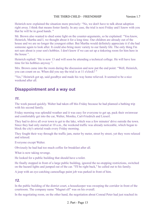Heinrich now explained the situation more precisely: "No, we don't have to talk about adoption right away. I think that means foster family. In any case, the trial is next Friday and I know with you that he will be in good hands. "

Mr. Brown also wanted to shed some light on the counter-arguments, so he explained: "You know, Heinrich, Martha and I, we thought about it for a long time. Our children are already out of the house and we are no longer the youngest either. But Martha would definitely appreciate it if she had someone again to look after. It could also bring more variety to our family life. The only thing I'm not sure about is your son's hobbies. I don't know if we can set up a tinkering room for him here in the house ".

Heinrich replied: "He is now 13 and will soon be attending a technical college. He will have less time for his hobbies anyway ".

Mrs. Brown came into the room during the discussion and now put the end point: "Well, Heinrich, you can count on us. When did you say the trial is at 11 o'clock? "

"Yes," Heinrich got up, said goodbye and made his way home relieved. It seemed to be a nice weekend after all.

# **Disappointment and a way out**

#### *11.*

The week passed quickly. Walter had taken off this Friday because he had planned a bathing trip with his second family.

Friday morning was splendid weather and it was easy for everyone to get up, pack their swimwear and comfortably get into the car, Walter, Monika, Carl-Friedrich and Lieserl.

They had to drive all over town to get to the lake, which was a few minutes' drive outside the town. Since they had only started at 10 a.m., the weekend traffic was already noticeable, which began to block the city's arterial roads every Friday morning.

They fought their way through the traffic jam, meter by meter, street by street, yet they were relaxed and relaxed.

Everyone except Walter.

Obviously he had had too much coffee for breakfast after all.

What is now taking revenge.

He looked for a public building that should have a toilet.

He finally stopped in front of a large public building, ignored the no-stopping restrictions, switched on the hazard lights and jumped out of the car. "I'll be right back," he called out to his family.

A jeep with an eye-catching camouflage paint job was parked in front of him.

#### *12.*

In the public building of the district court, a housekeeper was sweeping the corridor in front of the courtroom. The company name "Magnet elf" was on his overall.

In the negotiating room, on the other hand, the negotiation about Conrad Peter had just reached its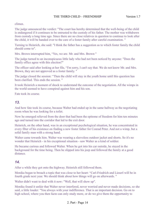#### THE THIRD CHILD – FRIENDSHIP Version 1.7

climax.

The judge announced the verdict: "The court has hereby determined that the well-being of the child is endangered if it continues to be entrusted to the custody of his father. The mother was withdrawn from custody a long time ago. Since there are no close relatives in question to continue to look after the child, it will be handed over to the care of a foster family after careful examination. "

Turning to Heinrich, she said: "I think the father has a suggestion as to which foster family the child should come to".

Mrs. Brown interrupted him, "Yes, we are. Mr. and Mrs. Brown "

The judge turned to an inconspicuous little lady who had not been noticed by anyone: "Does the family office agree with this election?"

The officer said after looking at her file, "I'm sorry, I can't say that. We do not know Mr. and Mrs. Brown, they are not approved as a foster family. "

The judge closed the session: "Then the child will stay in the youth home until this question has been clarified. This ends the session. "

It took Heinrich a moment of shock to understand the outcome of the negotiation. All the wimps in the world seemed to have conspired against him and his son.

Fate took its course.

#### *13.*

And how fate took its course, because Walter had ended up in the same hallway as the negotiating room when he was looking for a toilet.

Now he emerged relieved from the door that had been the epitome of freedom for him ten minutes ago and turned into the corridor that led to the exit door.

Heinrich, on the other hand, was in an exceptional psychological situation, he was concentrated in every fiber of his existence on finding a new foster father for Conrad Peter. And not a wimp, but a solid family man with a strong hand.

Walter came towards him. Walter was wearing a sleeveless outdoor jacket and shorts. So it's no wonder that Heinrich - in his exceptional situation - saw Walter as a kind of soldier.

He became curious and followed Walter. When he got into his car outside, he stayed in the background for the time being. Then he slipped into his jeep and followed the family at a good distance.

#### *14.*

After a while they got onto the highway. Heinrich still followed them.

Monika began to broach a topic that was close to her heart: "Carl-Friedrich and Lieserl will be in fourth grade next year. We should think about how things will go on afterwards. "

Walter didn't want to deal with it now: "Well, that will show up".

Monika found it unfair that Walter never interfered, never worried and never made decisions, so she said, a little louder: "You always with your indifference. That is an important decision. Go on to high school, where you then facto can only study more, or do we give them the opportunity to

2. Part - Page 14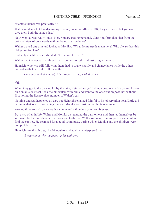#### THE THIRD CHILD – FRIENDSHIP Version 1.7

orientate themselves practically? "

Walter suddenly felt like discussing: "Now you are indifferent. OK, they are twins, but you can't give them both the same edge."

Now Monika was really loud: "Now you are getting personal. Can't you formulate that from the point of view of your needs without being abusive here?"

Walter waved one arm and looked at Monika: "What do my needs mean here? Who always has this obligation to plan?"

Suddenly Carl-Friedrich shouted: "Attention, the exit!"

Walter had to swerve over three lanes from left to right and just caught the exit.

Heinrich, who was still following them, had to brake sharply and change lanes while the others honked so that he could still make the exit.

*He wants to shake me off. The Force is strong with this one.*

### *15.*

When they got to the parking lot by the lake, Heinrich stayed behind consciously. He parked his car on a small side street, took the binoculars with him and went to the observation post, not without first noting the license plate number of Walter's car.

Nothing unusual happened all day, but Heinrich remained faithful to his observation post. Little did he know that Walter was a bigamist and Monika was just one of the two women.

Around three o'clock dark clouds came in and a thunderstorm was forecast.

But as so often in life, Walter and Monika disregarded the dark omens and then let themselves be surprised by the rain shower. Everyone ran to the car. Walter rummaged in his pocket and couldn't find the car key. He searched for a good 10 minutes, during which Monika and the children were completely soaked.

Heinrich saw this through his binoculars and again misinterpreted that.

*A smart man who toughens up his children.*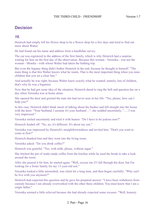# **Decision**

### *16.*

Heinrich had simply left his flower shop to be a flower shop for a few days and tried to find out more about Walter.

He had found out his name and address from a handlebar survey.

The car was registered to the address of the first family, which is why Heinrich had a surprise waiting for him on the first day of the observation. Because this woman - Veronika - was not the woman - Monika - with whom Walter had taken the bathing trip.

But even the bigamy thing didn't bother Heinrich in the end, because he thought to himself: "The main thing is that this Walter knows what he wants. That is the most important thing when you raise children that you set a clear line."

And actually he was right, because Walter knew exactly what he wanted: namely, lots of children, that's why he was a bigamist.

Now that he had got some idea of the situation, Heinrich dared to ring the bell and question her on a day when Veronika was at home alone.

She opened the door and greeted the man she had never seen in her life: "Yes, please, how can I help you?"

In this case, Heinrich didn't think much of talking about the bushes and fell straight into the house with the door: "Your husband, I assume it's your husband ...", she nodded uncertainly, "..... I was very impressed."

Veronika smiled uncertainly and tried it with humor: "Do I have to be jealous now?"

Heinrich fended off: "No, no, it's different. It's about my son."

Veronika was impressed by Heinrich's straightforwardness and invited him: "Don't you want to come in first?"

Heinrich thanked him and they went into the living room.

Veronika asked: "Do you drink coffee?"

Heinrich was grateful: "Yes, with milk, please, without sugar."

She fetched the pot of ready-made coffee from the kitchen while he used the break to take a look around the room.

After she poured it for him, he started again: "Well, excuse me if I fall through the door, but I'm looking for a foster family for my 13-year-old son."

Veronika looked a little astonished, was silent for a long time, and then began carefully: "Why can't he live with you anymore?"

Heinrich had expected this question and he gave his prepared answer: "I have been withdrawn from custody because I am already overworked with the other three children. You must know that I am a single father."

Veronika seemed a little relieved because she had already expected some excuses: "Well, honesty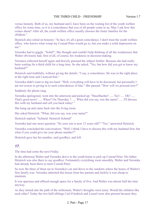versus honesty. Both of us, my husband and I, have been on the waiting list of the youth welfare office for some time, so it is a coincidence that you of all people come to us. May I ask how this comes about? After all, the youth welfare office usually chooses the foster families for the children."

Heinrich also relied on honesty: "In fact, it's all a great coincidence. I don't trust the youth welfare office, who knows what wimp my Conrad Peter would go to, but you make a solid impression on me."

Veronika had to giggle. "Solid!", She thought and couldn't help thinking of all the weaknesses that Walter obviously had, first of all, of course, his weakness in decision-making.

Veronica collected herself again and bravely pursued the subject further. Because she had really been waiting for a third child for a long time. So she asked, "Yes, but how did you get to know my husband?"

Heinrich said truthfully, without giving the details: "I say, a coincidence. He was in the right place at the right time and I noticed him."

Veronika didn't want to dig too hard: "Well, everything will have to be discussed, but personally I am not averse to giving in to such coincidences of fate." She paused: "How will we proceed now?"

Suddenly the phone rang.

Veronika apologized, went into the anteroom and picked up: "Haselbacher! ..... Yes! ..... Oh? ..... That's good news! ..... When? On Thursday ?. .... What did you say, was the name? ..... I'll discuss this with my husband and call you back today! "

She hung up and came back into the living room.

She asked Heinrich: "What, did you say, was your name?"

Heinrich replied: "Schmid. Heinrich Schmid"

Veronika had one more question: "So your son is now 13 years old?" "Yes," answered Heinrich.

Veronika concluded the conversation: "Well, I think I have to discuss this with my husband first, but what if you could give me your phone number?"

Heinrich gave her his number, said goodbye, and left.

#### *17.*

The time had come the next Friday.

In the afternoon Walter and Veronika drove to the youth home to pick up Conrad Peter. His father Heinrich was also there to say goodbye. Fortunately everything went smoothly, Walter and Veronika had already been there to meet Conrad Peter.

So now the three of them sat in Veronika's car and drove to the outskirts where the house of Walter's first family was. Veronika inherited this house from her parents and luckily it was cheap to maintain.

It was spacious and offered enough space for a family of five. And Walter was absent half the time anyway.

As they turned into the path of the settlement, Walter's thoughts were tense. Would the children like each other? Today the two half-siblings Carl-Friedrich and Lieserl were also present because they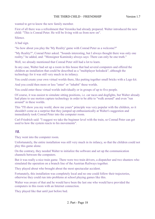#### THE THIRD CHILD – FRIENDSHIP Version 1.7

wanted to get to know the new family member.

First of all there was a refreshment that Veronika had already prepared. Walter introduced the new child: "This is Conrad Peter. He will be living with us from now on".

Silence.

A bad sign.

"So how about you play the 'My Reality' game with Conrad Peter as a welcome?"

"My Reality?", Conrad Peter asked. "Sounds interesting, but I always thought there was only one reality," he added, and: "Monsignor Kaminsky always says: There can only be one truth."

Well, we already mentioned that Conrad Peter still had a lot to learn.

In any case, Walter had set up a room in this house that had several computers and offered the children an installation that could be described as a "multiplayer holodeck", although the technology for it was still very much in its infancy.

You could create your own virtual worlds there, like putting together small bricks with a Lego kit.

And you could then more or less "enter" or "inhabit" these worlds.

You could enter these virtual worlds individually or in groups of up to five people.

Of course, it was easiest to simulate sitting positions, i.e. car races and dogfights, but Walter already had plans to use motion capture technology in order to be able to "walk around" and even "run around" in these worlds.

This "I'll show you my world, show me yours" principle was very popular with the children, so it shouldn't come as a surprise that they jumped up enthusiastically at Walter's suggestion and immediately took Conrad Peter into the computer room.

Carl-Friedrich said: "I suggest we take the beginner level with the train, so Conrad Peter can get used to how the system reacts to his movements".

### *18.*

They went into the computer room.

Unfortunately, the entire installation was still very much in its infancy, so that the children could not play this game alone.

On the contrary, they needed Walter to initialize the software and set up the communication channels between the computers.

But it was really a nice train game. There were two train drivers, a dispatcher and two shunters who simulated the operation on a branch line of the Austrian Railways together.

They played about who brought about the most spectacular accident.

Fortunately, this installation was completely local and no one could follow their trajectories, otherwise they could run into problems at school playing games like this.

Walter was aware of that and he would have been the last one who would have provided the computers in this room with an Internet connection.

They played like that until just before bed.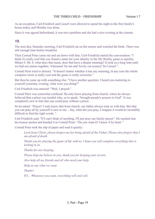#### THE THIRD CHILD – FRIENDSHIP Version 1.7

As an exception, Carl-Friedrich and Lieserl were allowed to spend the night in the first family's house today, and Monika was alone.

Since it was agreed beforehand, it was not a problem and she had a nice evening at the cinema.

### *19.*

The next day, Saturday morning, Carl-Friedrich sat on the terrace and watched the birds. There was still enough time before breakfast.

Then Conrad Peter came out and sat down with him. Carl-Friedrich started the conversation: "I think it's really cool that you found a name for your identity in the My Reality game so quickly. Mister F, Mr. F, what does that mean, does that have a deeper meaning? It took us a long time until we had our names together, 'whereami' for me and 'lovely cat scenery' for Lieserl ".

Conrad Peter tried to distract: "It doesn't matter whether it has any meaning, in any case the whole computer room is really cool and the game is really awesome."

But then he came up with something else: "I have another question. I heard you muttering to yourself yesterday evening, what were you doing?"

Carl-Friedrich was amazed: "Well, I prayed."

Conrad Peter was somewhat confused. He only knew praying from church, where he always believed that a priest was needed who, so to speak, "brought people's prayers to God". It was completely new to him that one could pray without a priest.

So he asked: "Prayer? I only know that from church, our father always took us with him. But that you can pray all by yourself is new to me. - Say, what did you pray, I imagine it would be incredibly difficult to find the right words. "

Carl-Friedrich said: "If I can't think of anything, I'll just pray our family prayer". He reached into his trouser pocket and handed it to Conrad Peter: "Do you want it? I know it by heart. "

Conrad Peter took the slip of paper and read it quietly:

*Lord Jesus Christ, please forgive me for being afraid of the Father. Please also forgive that I am afraid of death.*

*Thank you for playing the game of life with us, I hope you will complete everything that is lacking in us.*

*Thanks for not sleeping.*

*Please help me believe in you, thank you for keeping your secrets.*

*Also help all my friends and all who need your help.*

*Help us say what we want.*

*Thanks!*

*P.S .: Whenever you want, everything will end well.*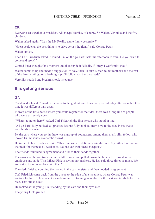### *20.*

Everyone sat together at breakfast. All except Monika, of course. So Walter, Veronika and the five children.

Walter asked again: "Was the My Reality game funny yesterday?"

"Great accidents, the best thing is to drive across the flank," said Conrad Peter.

Walter smiled.

Then Carl-Friedrich asked: "Conrad, I'm on the go-kart track this afternoon to train. Do you want to come and see it?"

Conrad Peter thought for a moment and then replied: "Gladly, if I may. I won't miss that."

Walter summed up and made a suggestion: "Okay, then I'll take Lieserl to her mother's and the rest of the family will go on a bathing trip. I'll follow you then. Agreed?"

Veronika nodded and breakfast took its course.

# **It is getting serious**

### *21.*

Carl-Friedrich and Conrad Peter came to the go-kart race track early on Saturday afternoon, but this time it was different than usual.

In front of the little house where you could register for the rides, there was a long line of people who were extremely upset.

"What's going on here?" Asked Carl-Friedrich the first person who stood in line.

"All go-karts fully booked, all practice lessons fully booked, from now to the race in six weeks", was the short answer.

By the cars where you got in there was a group of youngsters, among them a tall, slim fellow who looked triumphantly over at the crowd.

He turned to his friends and said: "This time we will definitely win the race. My father has reserved the track for the next six weekends. No one can train there except us."

The friends mumbled in agreement and rubbed their hands together.

The owner of the racetrack sat in the little house and pulled down the blinds. He turned to his employee and said: "This Mister Fink is saving our business. He has paid three times as much. We are restructuring ourselves with that."

The clerk finished counting the money in the cash register and then nodded in agreement.

Carl-Friedrich came back from the queue to the edge of the racetrack, where Conrad Peter was waiting for him: "There is not a single minute of training available for the next weekends before the race. That stinks a lot."

He looked at the young Fink standing by the cars and their eyes met.

The young Fink grinned.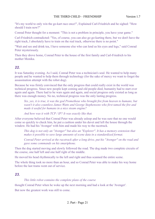"It's my world to only win the go-kart race once!", Explained Carl-Friedrich and he sighed: "How should I train now?"

Conrad Peter thought for a moment: "This is not a problem in principle, you have your game."

Carl-Friedrich contradicted: "Yes, of course, you can also go go-karting there, but we don't have the right track, I absolutely have to train on the real track, otherwise there is no point."

"Wait and see and drink tea, I have someone else who can lend us his eyes and legs," said Conrad Peter mysteriously.

Then they drove home, Conrad Peter to the house of the first family and Carl-Friedrich to his mother Monika.

#### *22.*

It was Saturday evening. As I said, Conrad Peter was a technician's soul. He wanted to help many people and he wanted to help them through technology (for the sake of mercy we want to forget the assassination attempt with the robot dog).

Because he was firmly convinced that the only progress that could really exist in the world was technical progress. Since new people kept coming and old people died, humanity had to start over again and again. There had to be wars again and again, and social progress only existed as long as there was enough money. No no, technical progress was the only lasting progress.

*Yes, yes, it is true, it was the god Prometheus who brought fire from heaven to humans, but wasn't it also countless James Watts and George Stephensons who first tamed the fire and made it useful for humans in a nice steam engine?*

*And how was it with TCP / IP? It was exactly like that.*

After everyone believed that Conrad Peter was already asleep and he was sure that no one would come so quickly to check him, he put a cushion under his duvet and left the house through the window. He had his 'Avenger' with him and made his way to the racetrack.

*This dog is not only an "Avenger" but also an "Explorer". It has a memory extension that makes it possible to save large amounts of scene data in a standardized format.*

*Conrad Peter arrived at the racetrack after a long drive, put his "Avenger" on the road and gave some commands on his smartphone.*

Then the dog started moving and slowly followed the road. The dog made two complete circuits of the course, one half left and one half right of the middle.

He moved his head rhythmically to the left and right and thus scanned the entire scene.

The whole thing took no more than an hour, and so Conrad Peter was able to make his way home before the last trams went out of service.

### *23.*

#### *This little robot contains the complete plans of the course*

thought Conrad Peter when he woke up the next morning and had a look at the 'Avenger'.

But now the greatest work was still to come.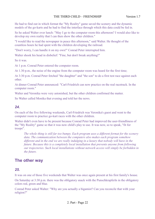#### THE THIRD CHILD – FRIENDSHIP Version 1.7

He had to find out in which format the "My Reality" game saved the scenery and the dynamic models of the go-karts and he had to find the interface through which this data could be fed in.

So he asked Walter over lunch: "May I go to the computer room this afternoon? I would also like to develop my own reality that I can then show the other children."

"I would like to read the newspaper in peace this afternoon," said Walter. He thought of the countless hours he had spent with the children developing the railroad.

"Don't worry, I can handle it on my own!" Conrad Peter interrupted him.

Walter shook his head in disbelief: "Fine, but don't break anything!"

So it was.

At 1 p.m. Conrad Peter entered the computer room.

At 1.30 p.m., the noise of the engine from the computer room was heard for the first time;

At 3:30 p.m. Conrad Peter fetched "the daughter" and "the son" to do a first test race against each other.

At dinner Conrad Peter announced: "Carl-Friedrich can now practice on the real racetrack. In the computer room."

Walter and Veronika were very astonished, but the other children confirmed the matter.

So Walter called Monika that evening and told her the news.

### *24.*

On each of the five following weekends, Carl-Friedrich was Veronika's guest and went to the computer room to practice go-kart races with the other children.

Walter didn't even have to be present because Conrad Peter had improved the user-friendliness of the "My Reality" game so that it was now child's play to use. It was now, so to speak, "fit for troops".

*The whole thing is still far too bumpy. Each program uses a different format for the scenery data. The communication between the computers also makes each program somehow different and in the end we are really indulging in a luxury that nobody will have in the future. Because this is a completely local installation that prevents anyone from following our trajectories. Such local installations without network access will simply be forbidden in the future.*

# **The other way**

#### *25.*

It was on one of those five weekends that Walter was once again present at his first family's house.

On Saturday at 3:30 p.m. there was the obligatory snack with the Punschkrapferln in the obligatory colors red, green and blue.

Conrad Peter asked Walter: "Why are you actually a bigamist? Can you reconcile that with your religion?"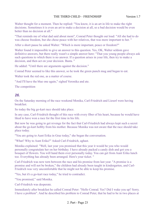Walter thought for a moment. Then he replied: "You know, it is an art in life to make the right decisions. Sometimes it is even an art to make a decision at all, so a bad decision would be even better than no decision at all."

"That reminds me of what dad said about mom", Conrad Peter thought out loud: "All she had to do was choose freedom, but she chose peace with her relatives, that was more important to her. "

After a short pause he asked Walter: "Which is more important, peace or freedom?"

Walter found it impossible to give an answer to this question. Yes, OK, Walter seldom gave definitive answers, but there really wasn't a simple answer here: "That you young people always ask such questions to which there is no answer. If a question arises in your life, then try to make a decision, and then act on your decision. Basta. "

He added: "Until there are arguments against the decision."

Conrad Peter seemed to like this answer, so he took the green punch mug and began to eat.

Walter took the red one, as a matter of course.

"And I'll have the blue one again," sighed Veronika and ate.

The competition

#### *26.*

On the Saturday morning of the race weekend Monika, Carl-Friedrich and Lieserl were having breakfast.

So today the big go-kart race should take place.

In any case, Carl-Friedrich thought of this race with every fiber of his heart, because he would have liked to have won a race for the first time in his life.

But now he was going to get revenge for the fact that Carl-Friedrich had always kept such a secret about the go-kart hobby from his mother. Because Monika was not aware that the race should take place today.

"You are going to Aunt Erika in Graz today," she began the conversation.

"What? Why to Aunt Erika?" Asked Carl-Friedrich, aghast.

Monika explained: "Well, last year you promised that this year it would be you who would personally congratulate her on her birthday. I have already packed a candy dish and got you a bouquet of flowers. You will hand them over personally today. You can get from Aunt Erika lunch too. Everything has already been arranged. Here's your ticket. "

Carl-Friedrich was now torn between the race and his promise from last year. "A promise is a promise and will not be broken," the children had already been taught in kindergarten, and Carl-Friedrich was very uncomfortable that he might not be able to keep his promise.

"Yes, but it's a go-kart race today," he tried to contradict.

"You promised," said Monika.

Carl-Friedrich was desperate.

Immediately after breakfast he called Conrad Peter: "Hello Conrad. Yes? Did I wake you up? Sorry. I have a problem". And he described his problem to Conrad Peter, that he had to be in two places at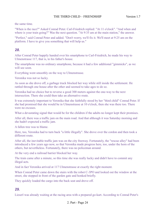the same time.

"When is the race?" Asked Conrad Peter. Carl-Friedrich replied: "At 11 o'clock". "And when and where is your train going?" Was the next question. "At 9:35 am at the main station," the answer.

"Perfect," said Conrad Peter and added. "Don't worry, we'll fix it. We'll meet at 9:25 am on the platform. I have to give you something that will help us."

#### *28.*

After Conrad Peter happily handed over his smartphone to Carl-Friedrich, he made his way to Ulmenstrasse 117, that is, to his father's house.

The smartphone was no ordinary smartphone, because it had a few additional "gimmicks", as we will see soon.

Everything went smoothly on the way to Ulmenstrasse.

Veronika was not so lucky.

As soon as she drove off, a garbage truck blocked her way while still inside the settlement. He rattled through one house after the other and seemed to take ages to do so.

Veronika had no choice but to reverse a good 300 meters against the one-way to the next intersection. There she could then take an alternative route.

It was extremely important to Veronika that she faithfully stood by her "third child" Conrad Peter. If she had promised that she would be in Ulmenstrasse at 10 o'clock, then she was there too. There were no excuses.

What a devastating signal that would be for the children if the adults no longer kept their promises.

After all, there was a traffic jam on the main road. And that although it was Saturday morning and she hadn't expected a traffic jam.

A fallen tree was to blame.

Here, too, Veronika had to turn back "a little illegally". She drove over the cordon and then took a different route.

After all, the inevitable traffic jam was on the city freeway. Fortunately, the "rescue alley" had been introduced a few years ago now, so that Veronika made progress here, too, under the horn of the others, but nevertheless. Fortunately, there was no policeman around.

At the very end a railroad barrier blocked her way.

The train came after a minute, so this time she was really lucky and didn't have to commit any illegal acts.

And in fact Veronika arrived at 117 Ulmenstrasse at exactly the right moment.

When Conrad Peter came down the stairs with the robot C-3PO and looked out the window at the street, she stopped in front of the garden gate and honked briefly.

They quickly loaded the cargo into the back seat and drove off.

#### *29.*

Lieserl was already waiting at the racing area with a prepared go-kart. According to Conrad Peter's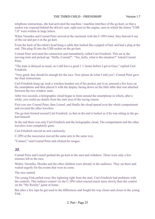telephone instructions, she had activated the machine / machine interface of the go-kart, so that a socket was exposed behind the driver's seat, right next to the engine, next to which the letters "USB 7.0" were written in large letters.

When Veronika and Conrad Peter arrived at the racetrack with the C-3PO robot, they heaved it out of the car and put it in the go-kart.

From the back of the robot's head hung a cable that looked like a pigtail of hair and had a plug at the end. This plug fit into the USB socket on the go-kart.

Conrad Peter activated the connection and immediately called Carl-Friedrich. This sat in the moving train and picked up: "Hello, Conrad?". "Yes, hello, what is the situation?" Asked Conrad Peter.

"The train is delayed as usual, so I still have a good 1 ½ hours before I get to Graz," replied Carl-Friedrich.

"Very good, that should be enough for the race. Now please do what I told you", Conrad Peter gave the final instructions.

Carl-Friedrich hung up, took a wireless headset out of his pocket, put it on, pressed a few keys on the smartphone and then placed it with the display facing down on the little table that was attached between the two window seats.

After two seconds, a holographic cloud began to form around the smartphone in which, after a while, you could see details from the start area of the racing course.

First you saw Conrad Peter, then Lieserl, and finally the cloud spread over the whole compartment and covered the other travelers.

The go-kart formed around Carl-Friedrich, so that in the end it looked as if he was sitting in the gokart himself.

In the end there was only Carl-Friedrich and the holographic cloud. The compartment and the other travelers were completely gone.

Carl-Friedrich moved an arm cautiously.

C-3PO at the racecourse moved the same arm in the same way.

"Contact," said Conrad Peter and clicked his tongue.

#### *30.*

Conrad Peter and Lieserl pushed the go-kart to the start and withdrew. There were only a few minutes left to the race.

Walter, Veronika, Monika and the other children were already in the audience. They sat there and waited eagerly for the events that were to come.

The race started.

The young Fink pulled away like lightning right from the start. Carl-Friedrich had problems with the controls. This indirect control via the C-3PO robot reacted much more slowly than the control on the "My Reality" game at home.

But after a few laps he got used to the differences and fought his way closer and closer to the young Fink.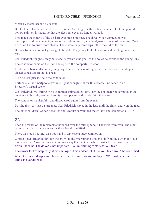#### THE THIRD CHILD – FRIENDSHIP Version 1.7

Meter by meter, second by second.

But Fink still had an ace up his sleeve. When C-3PO got within a few meters of Fink, he poured yellow paint on his head, so that the electronic eyes no longer worked.

This made the control of the go-kart even more indirect. The direct video connection was interrupted and the connection was only made indirectly via the dynamic model of the scene. Carl-Friedrich had to drive more slowly. There were only three laps left to the end of the race.

But our friends were lucky enough to be able. The young Fink blew a tire and had to go into the pits.

Carl-Friedrich fought slowly but steadily towards the goal, at the boxes he overtook the young Fink.

The conductor came on the train and opened the compartment door.

Inside were two adults and a young boy. The fellow was sitting with his arms crossed and eyes closed, a headset around his head.

"The tickets, please," said the conductor.

Fortunately, the smartphone was intelligent enough to show this external influence in Carl Friedrich's virtual scene.

Carl-Friedrich was sitting in his computer-animated go-kart, saw the conductor hovering over the racetrack to his left, reached into his breast pocket and handed him the ticket.

The conductor thanked him and disappeared again from the scene.

Despite this very last disturbance, Carl-Friedrich stayed in the lead until the finish and won the race.

The other children, Walter, Veronika and Monika surrounded the go-kart and celebrated C-3PO.

### *31.*

Then the owner of the racetrack announced over the microphone: "The Fink team won. The other team has a robot as a driver and is therefore disqualified".

There was loud hooting, also boos and in any case a huge commotion.

Conrad Peter struggled through the crowd to the microphone, snatched it from the owner and said loud and clear: "Your terms and conditions say that the team whose go-kart is first to cross the finish line wins. The driver is not important . So I'm claiming victory for our team. "

The owner looked helplessly at his employee. This nodded. "OK, so your team won," he confirmed.

When the owner disappeared from the scene, he hissed to his employee: "We must better hide the terms and conditions!"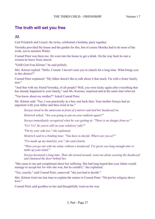# **The truth will set you free**

### *32.*

Carl-Friedrich and Lieserl, the twins, celebrated a birthday party together.

Veronika provided the house and the garden for this, but of course Monika had to do most of the work, not to mention Walter.

Conrad Peter was there too. He went into the house to get a drink. On the way back he met a woman he knew from church.

"Grüß Gott Frau Körner," he said politely.

Mrs. Körner replied: "Hello, Conrad. I haven't seen you in church for a long time. What brings you to this district?"

Conrad Peter explained: "My father doesn't like to talk about it that much. I'm with a foster family now."

"And that with my friend Veronika, of all people? Well, you were lucky again after everything that has already happened to your family," said Ms. Koerner, surprised and at the same time relieved.

"You know about my mother?" Asked Conrad Peter.

Ms. Körner said: "Yes, I was practically in a box seat back then. Your mother Soraya had an argument with your father and then cried at me."

*Soraya stood in the anteroom in front of a mirror and tied her headscarf on.*

*Heinrich asked: "Are you going to put on your uniform again?"*

*Soraya immediately recognized what he was getting at: "There is no danger from us."*

*"Us? Us? So you're still on your relatives' side?"*

*"I'm by your side too," she explained.*

*Heinrich said in a binding tone: "You have to decide. Where are you at?"*

*"I've made up my mind for you," she said clearly.*

*"Then you go out with me today without a headscarf. I've given you long enough time to make up your mind."*

*Soraya hesitated a long time. Then she turned around, went out alone wearing the headscarf and slammed the door behind her.*

"She came to me and complained about her suffering. She had long hoped that your father would manage to accept her for who she was, but he couldn't," she explained.

"Yes, exactly," said Conrad Peter, unmoved: "she just had to decide."

Mrs. Körner tried one last time to explain the matter to Conrad Peter: "He put his religion above love."

Conrad Peter said goodbye to her and thoughtfully went on his way.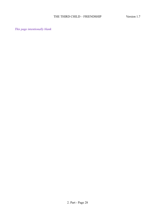*This page intentionally blank*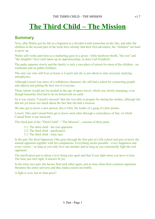# **The Third Child – The Mission**

# **Summary**

Now, after Walter got his life as a bigamist in a divided world somewhat on the line, and after the children in the second part of the book have already had their first adventure, the "children" are hard to grow up.

Walter still works part-time as a marketing guru in a green / white hardware booth, "the son" and "the daughter" have each taken up an apprenticeship, as does Carl-Friedrich.

The paths separate slowly and the family is only a rare place of retreat for most of the children - on weekends and on public holidays.

The only one who still lives at home is Lieserl and she is just about to start seriously studying astrophysics.

Although Lieserl was more of a withdrawn character, she still had a talent for connecting people and objects and getting the best out of everyone.

These talents would also be needed in the age of space travel, which was slowly emerging, even though humanity first had to do its homework on earth.

So it was clearly "Lieserl's mission" that she was able to prepare for during her studies, although she did not yet know too much about the fact that she had a mission.

We also get to know a new person, this is Otto, the leader of a gang of cyber pirates.

Lieserl, Otto and Conrad Peter get to know each other through a coincidence of fate, of which Conrad Peter is not innocent.

This third part of the "Third Child" - "The Mission" - consists of three parts

- 3.1: The third child the real opponent
- 3.2: The third child purification
- 3.3: The third child relay race

In the part The Real Opponent, Otto goes through the first part of a life school and gets to know the mutual opponent together with his companions. Everything seems possible - every happiness and every victory - as long as you only love one another and as long as you consistently fight the real opponent.

The purification part is about a love being torn apart and that if you fight alone you have to lose. The time just isn't right. It doesn't fit yet.

In the relay race part, the heroes find each other again, just in time when their common opponent threatens the entire universe and thus makes action inevitable.

A fight is won, but at what price?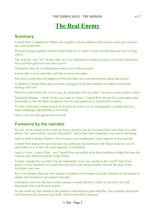# **The Real Enemy**

# **Summary**

Conrad Peter is adopted by Walter and, together with his adoptive half-sister Lieserl, gets to know the cyber pirate Otto.

He and his gang regularly commit cyber break-ins in order to steal valuable data and earn a living with it.

The overrich, who "sit" on their data, use it as a deterrent example to enact ever stricter anti-piracy laws and thus gain more and more power.

Ultimately, then, he is nothing more than a tool of the overrich.

Lieserl falls in love with Otto and Otto is not averse either.

But since Lieserl does not approve of his activities, he is torn between his gang and Lieserl.

In addition, Conrad Peter does not want a gangster in his area and tries to forbid Lieserl from dealing with Otto.

When he realizes that this is of no use, he challenges Otto to a duel. The loser would release Lieserl.

During the dispute - which, by the way, ends in a draw - Conrad Peter throws his counterpart some hard truths so that the latter recognizes who his real opponent is, namely the overrich.

In order to become a better person for Lieserl, he steals a set of unimaginably valuable data in a major campaign and publishes it on a blog.

One to zero for Otto against the overrich.

# **Foreword by the narrator**

So now we've looked at the world our heroes lived in. On the one hand there were these two ugly blocks, the "green block" and the "blue block", but luckily their importance was slowly declining.

And we dealt with the children, who of course were technically vastly superior to their parents.

Conrad Peter had grown up in the care of a militarist, but had been with Walter since he was 14 and Walter was, in fact, the exact opposite of a militarist.

And so it was - a hint of fate - our Conrad Peter succeeded in de facto building a bridge between the military man Heinrich and the wimp Walter.

Funnily enough, the so-called "big developments" were very similar to the "small" fate of our heroes. At the moment it was more like the hour of the bridge builder, because the hour of the bricklayer was over.

So it was freedom that was very popular. Freedom of movement of goods, freedom of movement of money and freedom of movement of people.

Ultimately, however, this led to some taking too many liberties, which in turn led to the rich becoming richer and the poor poorer.

So one could say that instead of the political wall between green and blue, the economic and social wall between rich and poor was built, which in turn led to tensions.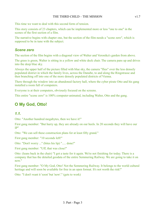#### THE THIRD CHILD – THE MISSION v1.7

This time we want to deal with this second form of tension.

This story consists of 23 chapters, which can be implemented more or less "one to one" in the scenes of the first section of a film.

The narrative begins with chapter one, but the section of the film needs a "scene zero", which is supposed to be in tune with the subject.

# *Scene zero*

The section of the film begins with a diagonal view of Walter and Veronika's garden from above.

The grass is green, Walter is sitting in a yellow and white deck chair. The camera pans up and drives into the deep blue sky.

Always the upper half of the picture filled with blue sky, the camera "flies" over the less densely populated district in which the family lives, across the Danube, to and along the Ringstrasse and then branching off into one of the more densely populated districts of Vienna.

There through the window into an abandoned factory hall, where the cyber pirate Otto and his gang installed a room full of computers.

Everyone is at their computers, obviously focused on the screens.

This entire "scene zero" is 100% computer-animated, including Walter, Otto and the gang.

# **O My God, Otto!**

### *1.1.*

Otto: "Another hundred megabytes, then we have it!"

First gang member: "But hurry up, they are already on our heels. In 20 seconds they will have our IP"

Otto: "We can sell these construction plans for at least fifty grand."

First gang member: "10 seconds left!"

Otto: "Don't worry ..." (bites his lip) "..... done!"

First gang member: "Uff, that was close!"

Otto: (leans back in the chair) "I got a taste for it again. We're not finishing for today. There is a company that has the detailed geodata of the entire Semmering Railway. We are going to take it on now."

First gang member: "O My God, Otto! Not the Semmering Railway. It belongs to the world cultural heritage and will soon be available for free in an open format. It's not worth the risk!"

Otto: "I don't want it 'soon' but 'now'." (gets to work)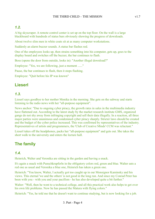### *1.2.*

A big skyscraper. A remote control center is set up on the top floor. On the wall is a large blackboard with hundreds of status bars obviously showing the progress of downloads.

About twelve slim men in white coats sit at as many computer workstations.

Suddenly an alarm buzzer sounds. A status bar flashes red.

One of the employees looks up, then strains something into his computer, gets up, goes to the display board and switches off the buzzer, the bar continues to flash.

Boss (opens the door from outside, looks in): "Another illegal download?"

Employee: "Yes, we are following, just a moment ......"

Pause, the bar continues to flash, then it stops flashing.

Employee: "Quit before his IP was known"

# **Lieserl**

#### *1.3.*

Lieserl says goodbye to her mother Monika in the morning. She gets on the subway and starts listening to the radio news with her "all-purpose equipment".

News anchor: "Due to ongoing cyber piracy, the growth rates in sales in the multimedia industry have flattened out. According to the latest study by the market research institute GMS, organized gangs do not shy away from infringing copyright and sell their data illegally. In a reaction, all three major parties were unanimous and condemned cyber piracy sharply. Stricter laws should be created and the budget of the cyber police increased. This was confirmed by representatives of the industry. Representatives of artists and programmers, the 'Club of Creative Minds' CCM was reluctant."

Lieserl takes off the headphones, packs her "all-purpose equipment" and gets out. She takes the short walk to the university and enters the lecture hall.

# **The family**

#### *1.4.*

Heinrich, Walter and Veronika are sitting in the garden and having a snack.

It's again a snack with Punschkrapferln in the obligatory colors red, green and blue. Walter eats a red one as usual and Veronika a blue one, Heinrich has taken a green one.

Heinrich: "You know, Walter, I actually got too caught up in our Monsignor Kaminsky and his views. This eternal 'we and the others' is not good in the long run. And since my Conrad Peter has been with you - with you and your pacifism - he has also developed quite a bit further."

Walter: "Well, then he went to a technical college, and all this practical work also helps to get over his own life problems. Now he has passed the Matura with flying colors."

Heinrich: "Yes, he told me that he doesn't want to continue studying, but is now looking for a job.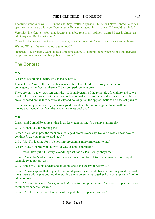The thing went very well, ...... in the end. Say, Walter, a question. (*Pauses* ) Now Conrad Peter has spent so many years with you. Don't you really want to adopt him in the end? I wouldn't mind. "

Veronika (interferes): "Well, that doesn't play a big role in my opinion. Conrad Peter is almost an adult anyway. But I don't mind."

Conrad Peter comes in at the garden door, greets everyone briefly and disappears into the house.

Walter: "What is he working out again now?"

Heinrich: "He probably wants to help someone again. Collaboration between people and between people and machines has always been his topic."

# **The Contest**

### *1.5.*

Lieserl is attending a lecture on general relativity.

The lecturer: "And at the end of this year's lecture I would like to draw your attention, dear colleagues, to the fact that there will be a competition next year.

There are only a few years left until the 400th anniversary of the principle of relativity and so we would like to consciously set incentives to develop software programs and software concepts that are only based on the theory of relativity and no longer on the approximations of classical physics.

So, ladies and gentlemen, if you have a good idea about the summer, get in touch with me. Prize money and recognition from the academic senate beckon. "

# *1.6.*

Lieserl and Conrad Peter are sitting in an ice cream parlor, it's a sunny summer day.

C.P .: "Thank you for inviting me"

Lieserl: "You don't pass the technnical college diploma every day. Do you already know how to continue? Are you going to study too?"

C.P .: "No, I'm looking for a job now, my freedom is more important to me."

Lieserl: "Say, Conrad, you know your way around computers."

C.P .: "Well, let's put it this way: everything that has a CPU usually obeys me."

Lieserl: "Yes, that's what I mean. We have a competition for relativistic approaches in computer technology at our university."

C.P .: "I'm sorry, I don't understand anything about the theory of relativity."

Lieserl: "I can explain that to you. Differential geometry is about always describing small parts of the universe with equations and then putting the large universe together from small parts. <E minori ad maiorem>".

C.P .: "That reminds me of our good old 'My Reality' computer game. There we also put the scenes together from partial scenes".

Lieserl: "But it is important that none of the parts have a special position"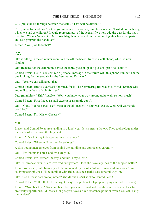#### THE THIRD CHILD – THE MISSION v1.7

C.P. (pulls the air through between the teeth): "That will be difficult"

C.P. (thinks for a while): "But do you remember the railway line from Wiener Neustadt to Puchberg, which we had as children? It could represent part of the scene. If we now add the data for the main line from Wiener Neustadt to Mürzzuschlag then we could put the scene together from two parts and also program the handover ".

Lieserl: "Well, we'll do that!"

# *1.7.*

Otto is sitting in the computer room. A little off the beaten track is a cell phone, which is now ringing.

Otto (reaches for the cell phone across the table, picks it up and picks it up): "Yes, hello?"

Conrad Peter: "Hello. You sent me a personal message in the forum with this phone number. I'm the one looking for the geodata for the Semmering Railway."

Otto: "Yes, we can talk about that"

Conrad Peter: "But you can't ask for much for it. The Semmering Railway is a World Heritage Site and will soon be available for free".

Otto (mumbles): "Shit" (loudly): "Well, you know your way around quite well, so how much"

Conrad Peter: "First I need a small excerpt as a sample copy".

Otto: "Okay. But no e-mail. Let's meet at the old factory in Nusswaldgasse. What will your code word be?"

Conrad Peter: "I'm 'Mister Cheessy'".

# *1.8.*

Lieserl and Conrad Peter are standing in a lonely cul-de-sac near a factory. They took refuge under the shade of a tree from the July heat.

Lieserl: "It's a hot day today, pretty much anyway."

Conrad Peter: "Where will he stay for so long?"

A slim young man emerges from behind the building and approaches carefully.

Otto: "I'm 'Number Three' and who are you?"

Conrad Peter: "I'm 'Mister Cheessy' and this is my client."

Otto: "Nowadays women are involved everywhere. Does she have any idea of the subject matter?"

Lieserl (outraged, but obviously a little impressed by the old-fashioned macho demeanor): "I'm studying astrophysics. I'll be familiar with ridiculous geospatial data for a railway line!"

Otto: "Well, these data are top notch!" (holds out a USB stick to Conrad Peter)

Conrad Peter: "Well, I'll check that right away" (he pulls out a laptop and plugs in the USB stick)

Lieserl: "'Number three'. So a number. Have you ever considered that the numbers on a clock face are really superfluous? At least as long as you have a fixed reference point on which you can 'hang' the twelve?"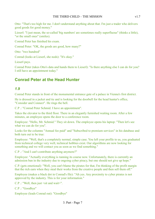#### THE THIRD CHILD – THE MISSION v1.7

Otto: "That's too high for me. I don't understand anything about that. I'm just a trader who delivers good goods for good money."

Lieserl: "I just mean, the so-called 'big numbers' are sometimes really superfluous" (thinks a little), "or the small ones" (smiles).

Conrad Peter has finished his exam.

Conrad Peter: "OK, the goods are good, how many?"

Otto: "two hundred"

Conrad (looks at Lieserl, she nods): "It's okay."

Lieserl pays.

Conrad Peter (takes Otto's data and hands them to Lieserl): "Is there anything else I can do for you? I still have an appointment today."

# **Conrad Peter at the Head Hunter**

# *1.9*

Conrad Peter stands in front of the monumental entrance gate of a palace in Vienna's first district.

He is dressed in a jacket and tie and is looking for the doorbell for the head hunter's office, "Consider and Connect". He rings the bell.

C.P .: "Conrad Peter Schmid. I have an appointment".

Takes the elevator to the third floor. There in an elegantly furnished waiting room. After a few minutes, an employee opens the door to a conference room.

Employee: "Hello, Mr. Schmid." They sit down. The employee opens his laptop: "Then let's see what we can do for you".

Looks for the columns "Annual fee paid" and "Subscribed to premium services" in his database and both turn out to be true:

Employee: "Well, that's a completely normal, simple case. You left your profile to us, you graduated from technical college very well, technical hobbies exist. Our algorithms are now looking for something and we will contact you as soon as we find something."

C.P .: "And I can't contribute anything anymore?"

Employee: "Actually everything is running its course now. Unfortunately, there is currently an admission ban in the industry due to ongoing cyber piracy, but one should not give up hope."

C.P. (gets emotional): "Well, you can't blame the pirates for that, I'm thinking of the profit margin that the rich earn when they steal their works from the creative people and then sell them off."

Employee (makes a black dot in Conrad's file): "Ah yes. Any proximity to cyber pirates is not approved by the industry. This is for your information."

C.P .: "Well, then just <sit and wait>".

C.P .: "Goodbye"

Employee (leads Conrad out): "Goodbye"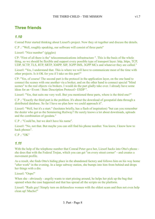# **Three friends**

# *1.10*

Conrad Peter started thinking about Lieserl's project. Now they sit together and discuss the details.

C.P .: "Well, roughly speaking, our software will consist of three parts"

Lieserl: "Nice number" (giggles)

CP: "First of all there is the" telecommunications infrastructure ". This is the basis of the whole thing, so we should be flexible and support every possible type of transport layer: http, https, TCP, UDP, SCTP, TLS, RTP, SRTP, XMPP, SIP, 3GPP IMS, 3GPP MCx and whatever they are called."

Lieserl: "Yes, I understand that. This is where we will have to communicate most of the time with other projects. Is it OK for you if I take on this part?"

CP: "Yes, of course! The second part is the protocol in the application layer, on the one hand to connect the scenes with one another via a broker, and on the other hand to connect special "blind scenes" to the real objects via brokers. I would do the part gladly take over. I already have some ideas for an <Event / State Description Protocol> ESDP ".

Lieserl: "Yes, that suits me very well. But you mentioned three parts, where is the third one?"

C.P .: "Exactly the third part is the problem. It's about the download of geospatial data through a distributed database. So far I have no plan how we could approach it".

Lieserl: "Well, but it's a start." (hesitates briefly, has a flash of inspiration) "but can you remember the dealer who got us the Semmering Railway? He surely knows a lot about downloads, uploads and the combination of geodata."

C.P .: "Could be, but we don't have his name".

Lieserl: "No, not that. But maybe you can still find his phone number. You know, I know how to hack phones".

C.P .: "OK"

### *1.11*

With the help of the telephone number that Conrad Peter gave her, Lieserl hacks into Otto's phone she does that with the Federal Trojan, which you can get "on every street corner" - and creates a movement profile.

As a result, she finds Otto's hiding place in the abandoned factory and follows him on his way home "after work" in the evening. In a large subway station, she bumps into him from behind and drops her things with a din.

Lieserl: "Oops!"

When she - obviously - angrily wants to start pissing around, he helps her pick up the bag that opened when the case happened and that has spread all the scripts on the platform.

Lieserl: "Rude guy! Simply turn on defenseless women with the oldest scam and then not even help clean up! Macho!"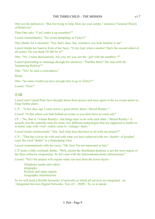Otto (on the defensive): "But I'm trying to help. Here are your scripts." (amazes) "General Theory of Relativity".

Then Otto asks: "Can I make it up somehow?"

Lieserl (immediately): "Ice cream dumplings at Tichy's!"

Otto (thinks for a moment): "Yes, that's okay. Say, somehow you look familiar to me".

Lieserl (holds her hand in front of her face): "O my God, what a macho! That's the second oldest of all scams! Do you think I'll fall for it?"

Otto: "No. I mean that honestly. Are you, are you, not the <girl with the numbers>?"

Lieserl (pretending to rummage through her memory): "Number three? The man with the Semmering Railway?"

Otto: "Yes! So such a coincidence."

Break.

Otto: "So when would you have enough time to go to Tichy's?"

Lieserl: "Now!"

### *1.12*

Lieserl and Conrad Peter have thought about their project and meet again in the ice cream parlor to forge further plans.

C.P .: "A few days ago I came across a good article about <Mixed Reality>".

Lieserl: "Is that where you hide behind an avatar so you don't have to come out?"

CP .: "No, that is <Virtual Reality>, but things have to do with each other. <Mixed Reality> is actually just the umbrella term for some very different technologies that are supposed to enable us to better cope with <real> reality come to <enlarge> them. "

Lieserl (looks uninterested): "Aha. And what does that have to do with our project?"

C.P .: "That has a lot to do with and with what you have achieved with our <dealer> of geodata" (says the word "dealer" in a disparaging tone)

Lieserl (ostentatiously rolls her eyes): "Oh, him! I'm not interested in him."

C.P. looks a little confused, thinks: "Well, maybe the distributed database is not the most urgent of the three software components. So let's start with the telecommunications infrastructure"

Lieserl: "Yes! Our project will require many services from the lower layers:

Telephony (audio and video) telegraphy Position and status reports Geographic Infrastructure

So we will need a flexible hierarchy of networks in which all services are integrated - an <Integrated Services Digital Networks, Tree of> - ISDN / To, so to speak.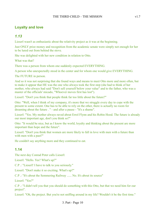# **Loyalty and love**

# *1.13*

Lieserl wasn't as enthusiastic about the relativity project as it was at the beginning.

Just ONLY prize money and recognition from the academic senate were simply not enough for her to be lured out from behind the stove.

She was delighted with her new condition in relation to Otto.

What was that?

There was a person from whom one suddenly expected EVERYTHING.

A person who unexpectedly stood in the center and for whom one would give EVERYTHING.

The FUTURE in person.

And so it was not surprising that she found ways and means to meet Otto more and more often, but to make it appear that HE was the one who always took the first step (she had to think of her mother, who always had said "Don't sell yourself below your value" and to the father, who was a master of the officials' micado, "Whoever moves first has lost").

Lieserl: "Don't you think that people think far too little about the future?"

Otto: "Well, when I think of my company, it's more that we struggle every day to cope with the present to some extent. One has to be able to rely on the other, there is actually no room for dreaming about the future . " - and after a pause - "It's a shame".

Lieserl: "Yes. My mother always raved about Errol Flynn and his Robin Hood. The future is already our most important age, don't you think so?"

Otto: "It would be nice, but as I know the world, loyalty and thinking about the present are more important than hope and the future".

Lieserl: "Don't you think that women are more likely to fall in love with men with a future than with men with a past?"

He couldn't say anything more and they continued to eat.

# **1.14**

The next day Conrad Peter calls Lieserl:

Lieserl: "Hello. Yes? What's up?"

C.P .: "Lieserl! I have to talk to you seriously."

Lieserl: "Don't make it so exciting. What's up?"

C.P .: "It's about the Semmering Railway ...... No. It's about its source"

Lieserl: "Yes?"

C.P .: "I didn't tell you that you should do something with this Otto, but that we need him for our project".

Lieserl: "Oh, the project. But you're not sniffing around in my life? Wouldn't it be the first time."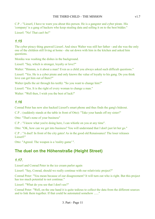#### THE THIRD CHILD – THE MISSION v1.7

C.P .: "Lieserl, I have to warn you about this person. He is a gangster and cyber pirate. His 'company' is a gang of hackers who keep stealing data and selling it on to the best bidder."

Lieserl: "No! That can't be!"

# *1.15*

The cyber piracy thing gnawed Lieserl. And since Walter was still her father - and she was the only one of the children still living at home - she sat down with him in the kitchen and asked him questions.

Monika was washing the dishes in the background.

Lieserl: "Say, which is stronger, loyalty or love?"

Walter: "Hmmm, is it about a man? Even as a child you always asked such difficult questions."

Lieserl: "Yes. He is a cyber pirate and only knows the value of loyalty to his gang. Do you think love can get him out of there?"

Walter (pulls the air through his teeth): "So you want to change him?"

Lieserl: "Yes. It is the right of every woman to change a man."

Walter: "Well then, I wish you the best of luck!"

# *1.16*

Conrad Peter has now also hacked Lieserl's smart phone and thus finds the gang's hideout.

C.P .: (suddenly stands at the table in front of Otto): "Take your hands off my sister!"

Otto: "That's none of your business"

C.P .: "I know what you're doing here, I can whistle on you at any time".

Otto: "OK, how can we get into business? You will understand that I don't just let her go."

C.P .: "A duel! In front of the city gates! As in the good old Renaissance! The loser releases Lieserl!"

Otto: "Agreed. The weapon is a 'reality game' ".

# **The duel on the Höhenstraße (Height Street)**

# *1.17.*

Lieserl and Conrad Peter in the ice cream parlor again

Lieserl: "Say, Conrad, should we really continue with our relativistic project?"

Conrad Peter: "You mean because of our disagreement? It will turn out who is right. But this project has too much potential to not continue."

Lieserl: "What do you see that I don't see?"

Conrad Peter: "Well, on the one hand it is quite tedious to collect the data from the different sources and to link them together. If that could be automated somehow ......"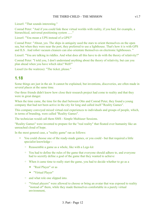#### THE THIRD CHILD – THE MISSION v1.7

Lieserl: "That sounds interesting."

Conrad Peter: "And if you could link these virtual worlds with reality, if you had, for example, a hierarchical, universal positioning system ......"

Lieserl: "You mean a UPS instead of a GPS?"

Conrad Peter: "About, yes. The ships in antiquity used the stars to orient themselves on the open sea, but when they were near the port, they preferred to use a lighthouse. That's how it is with GPS and ILS . And robot vacuum cleaners can also orientate themselves on electronic lighthouses. "

Lieserl: "You are talking in riddles. And what does all this have to do with the theory of relativity?"

Conrad Peter: "I told you, I don't understand anything about the theory of relativity, but can you plan ahead when you have which idea? Well!"

Lieserl (to the waitress): "The ticket, please."

# **1.18**

Some things are just in the air. It cannot be explained, but inventions, discoveries, are often made in several places at the same time.

Our three friends didn't know how close their research project had come to reality and that they were in great danger.

When the time came, the time for the duel between Otto and Conrad Peter, they found a young company that had not been active in the city for long and called itself "Reality Games".

This company conveyed mixed virtual-real experiences to individuals and groups of people, which, in terms of branding, were called "Reality Games".

The technician would call them SMS - Simple Multiuser Sessions.

"Reality Games" were invented to prepare for the "real reality" that floated over humanity like an unreached cloud of hope.

In the most general case, a "reality game" ran as follows:

- You could choose one of the ready-made games, or you could but that required a little specialist knowledge -
	- Reassemble a game as a whole, like with a Lego kit
	- You had to define the rules of the game that everyone should adhere to, and everyone had to secretly define a goal of the game that they wanted to achieve
	- When it came time to really start the game, you had to decide whether to go as a
		- "Real Player" or as
		- "Virtual Player"
	- and what role one slipped into.
	- "Virtual players" were allowed to choose or bring an avatar that was exposed to reality "instead of" them, while they made themselves comfortable in a purely virtual environment,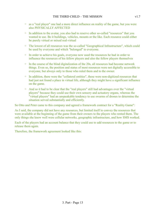- as a "real player" one had a more direct influence on reality of the game, but you were also PHYSICALLY AFFECTED
- In addition to the avatar, you also had to reserve other so-called "resources" that you wanted to use. Be it buildings, vehicles, mounts or the like. Each resource could either be purely virtual or mixed real-virtual
- The lowest of all resources was the so-called "Geographical Infrastructure", which could be used by everyone and which "belonged" to everyone.
- In order to achieve his goals, everyone now used the resources he had in order to influence the resources of his fellow players and also the fellow players themselves
- In the course of the blind digitalization of the 20s, all resources had become network things. Even so, the position and status of most resources were not digitally accessible to everyone, but always only to those who ruled them and to the owner.
- In addition, there were the "collateral entities", these were non-digitized resources that had just not found a place in virtual life, although they might have a significant influence on the game.
- And so it had to be clear that the "real players" still had advantages over the "virtual players" because they could use their own sensory and actuatory organs, whereas the "virtual players" had an unspeakable tendency to use swarms of drones to determine the situation served substantially and efficiently.

So Otto and Peter came to this company and agreed a framework contract for a "Reality Game":

As I said, the company did not have any resources, but limited itself to convey the resources that were available at the beginning of the game from their owners to the players who rented them. The only things she knew well were cellular networks, geographic infrastructure, and how SMS worked.

Each of the players had an account balance that they could use to add resources to the game or to release them again.

Therefore, the framework agreement looked like this: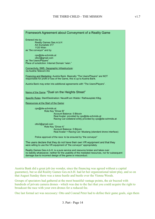| Framework Agreement about Conveyment of a Reality Game                                                                                                                                                                                         |
|------------------------------------------------------------------------------------------------------------------------------------------------------------------------------------------------------------------------------------------------|
| Entered Into by<br>Reality Games Ges.m.b.H<br>Am Europlatz 317<br><b>1120 Wien</b>                                                                                                                                                             |
| as "the conveyor" and by                                                                                                                                                                                                                       |
| cps@die-schmids.at<br>otto3@gmail.com<br>as "the Users/Players"<br>Place of iurisdiction: Internet Domain "wien."                                                                                                                              |
|                                                                                                                                                                                                                                                |
| Connectivity, SMS, Geographic Infrastructure:<br>via Austria Telecom AG                                                                                                                                                                        |
| Financing and Marketing: Austria Bank. Basically "The Users/Players" are NOT<br>responsible for profit or loss of the Game, this is up to Austria Bank.                                                                                        |
| Austria Bank may enter into additional agreements with "The Users/Players".                                                                                                                                                                    |
| Name of the Game: "Duel on the Heights Street"                                                                                                                                                                                                 |
| Specific Rules: Start/Destination: Neustift am Walde / Rathausplatz Klbg.                                                                                                                                                                      |
| Ressources at the Start of the Game:                                                                                                                                                                                                           |
| cps@die-schmids.at                                                                                                                                                                                                                             |
| Role Key "Driver B"<br><b>Account Balance: 5 Bitcoin</b>                                                                                                                                                                                       |
| Real Avatar: provided by cps@die-schmids.at<br>Racing Car:collateral entity provided by cps@die-schmids.at                                                                                                                                     |
| otto3@gmail.com                                                                                                                                                                                                                                |
| Role Key "Driver A"<br>Account Balance: 5 Bitcoin                                                                                                                                                                                              |
| Real Avatar = Racing Car: Mustang (standard drone interface)                                                                                                                                                                                   |
| Police approval of the race: to be ensured by "the conveyor"                                                                                                                                                                                   |
| The users declare that they do not have their own VR equipment and that they<br>were willing to use the VR equipment of "the conveyor" appropriately.                                                                                          |
| Reality Games Ges.m.b.H. is a pure service and resource broker and takes over<br>no liability whatsoever, neither for the usability of the mediated resources, nor for subsequent<br>damage due to incorrect design of the game or misconduct. |

Austria Bank did a great job (no wonder, since the financing was agreed without a capital guarantee), but so did Reality Games Ges.m.b.H. had let her organizational talent play, and so on that August Sunday there was a tense hustle and bustle over the Vienna Woods.

Groups of spectators had gathered at the most beautiful vantage points, the air buzzed with hundreds of private camera drones - which was due to the fact that you could acquire the right to broadcast the race with your own drones for a reduced fee.

One last formal act was necessary: Otto and Conrad Peter had to define their game goals, sign them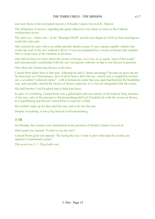#### THE THIRD CHILD – THE MISSION v1.7

and store them in the encrypted memory of Reality Games Ges m.b.H. Deposit.

The obligation of secrecy regarding the game objectives was about as strict as the Catholic confessional secret.

The start was - where else - at the "Heuriger Wolff" and the race began at 10:45 so that churchgoers could also take part.

Otto entered the race with a so-called specific double avatar. It was a drone-capable vehicle that could take part in the race without a driver. It was accompanied by a swarm of drones that enabled Otto to keep track of the situation at all times.

Otto did not have to worry about the swarm of drones, as it was, so to speak, "part of the avatar" and automatically coordinated with the car's navigation software so that it was always in position.

Otto chose the Simmering factory as his base.

Conrad Peter didn't have it that easy. Although he had a "home advantage" because he grew up not far from here on Ulmenstrasse, first of all he had to drive his car - which was a completely normal car, a so-called "collateral entity" - with a humanoid avatar that you open had buckled the handlebar seat, and secondly, steered the swarm of drones explicitly, as it was not integrated with the avatar.

His half-brother Carl-Friedrich had to help him there.

In spite of everything, Conrad Peter was a gifted pilot and was clearly in the lead for long stretches of the race, only at the junction to Klosterneuburg did Carl-Friedrich fly with the swarm of drones to Leopoldsberg and forced Conrad-Peter to stop for a while.

He couldn't make up for that until the end, and so he lost the race.

Despite everything, it was a big festival in Klosterneuburg.

# *1.19*

On Monday the winners were determined in the premises of Reality Games Ges.m.b.H.

Otto's goal was opened: "I want to win the race".

Conrad Peters goal was opened: "By losing the race I want to prove that specific avatars are superior to humanoid avatars".

The score was 1: 1. They both won.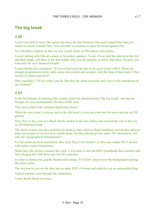# **The big break**

# *1.20*

Lieserl was able to meet Otto again, but since the duel between Otto and Conrad Peter had just ended in a draw, Conrad Peter "was allowed" to continue to raise the mood against Otto.

So it shouldn't surprise us that one day Lieserl spoke to Otto about cyber piracy.

Lieserl (sitting with Otto at a snack in Veronika's garden): "Look, if you steal the data from the rich and then simply sell them to the best bidder, then you are actually no better than them, because you look only for your financial benefit".

Lieserl (thinks for a moment): "If you at least used the data to do good works with it. There are enough programmers in the indie scene who could work wonders with the help of these data, if they weren't so damn expensive".

Otto (carefully): "I'll see what I can do. But they are damn powerful and I have to be considerate of my company".

# *1.21*

In the first phases of planning Otto simply called the planned action "the big break", but then he thought of a less melodramatic but also subtle term.

They now called it the "planned digitization boost".

When the time came, everyone met in the old factory, everyone went into his room and put on VR glasses.

They flew to the scene in a Black Hawk, landed in the next valley, and covered the rest of the way in old-fashioned jeeps.

The alarm system was not a problem for them, as they used an illegal multiuser session that allowed their own avatars to be moved in stealth mode, but they did not get the entire VR information, but only the "geographical infrastructure".

For the actual physical interaction, they used "Real Life Avatars", in this case simple 08/15 drones with audio-visual transmission.

When they (the drones) reached the vault, it was time to start the BDT (broadband data transfer) and Otto plugged the USB drive into his VR controller.

In order to distract the guards, Beethoven's sonata "For Elise" played over the loudspeakers during the entire action.

The rest was to convert the data into an open X3D v4 format and publish it on an untraceable blog.

A great murmur went through the community.

A new Robin Hood was born.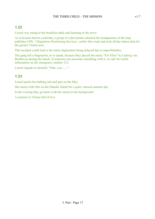## *1.22*

Lieserl was sitting at the breakfast table and listening to the news:

As it became known yesterday, a group of cyber pirates attacked the headquarters of the map publisher UPS - Ubiquitious Positioning Services - earlier this week and stole all the indoor data for the greater Vienna area.

This incident could lead to the entire digitization being delayed due to unprofitability.

The gang left a fingerprint, so to speak, because they played the music "For Elise" by Ludwig van Beethoven during the attack. If someone can associate something with it, we ask for useful information on the emergency number 112.

Lieserl (speaks to herself): "Otto, you ......"

## *1.23*

Lieserl packs her bathing suit and gets on the bike.

She meets with Otto on the Danube Island for a quiet, relaxed summer day.

In the evening they go home with the sunset in the background.

A summer in Vienna full of love.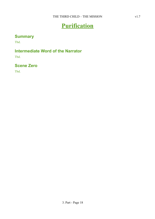# **Purification**

# **Summary**

Tbd.

# **Intermediate Word of the Narrator**

Tbd.

# **Scene Zero**

Tbd.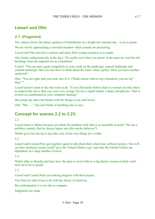# **Lieserl and Otto**

## *2.1. (Fragment)*

The camera shows the palace gardens of Schönbrunn on a bright late summer day - a sea in green.

We are slowly approaching a crowded meadow where people are picnicking.

Lieserl and Otto also have a picnic and enjoy their young existence as a couple.

Otto (looks enthusiastically at the sky): "It's really cool when you picnic in the open air. And the old buildings from the imperial era as a backdrop".

Lieserl: "You are once again completely in your crush on the landscape, natural landscape and cultural landscape. But you also have to think about the inner values (grins). Here you have another sandwich".

Otto: "You are right, that you took care of it. (Thinks about what to say) Somehow you are my" Hasi "".

Lieserl doesn't seem to like this term at all: "If you old macho believe that we women are only there to stand at the stove, then you were very wrong. I'm not a stupid rodent, I study astrophysics. That is at least as complicated as your computer hacking ".

She jumps up, takes her basket with the things to eat, and leaves.

Otto: "But ......" (he can't think of anything else to say)

## **Concept for scenes 2.2 to 2.23:**

2.2.

Lieserl turns to Walter because you think the problem with Otto is so insoluble (Lieserl: "He has a problem, namely that he always lapses into this macho behavior").

Walter gives her the tip to just take care of her own things for a while.

2.3.

Lieserl and Conrad Peter get together again to talk about their relativistic software project. You will see how multiuser scenes could "give the Virtual Globes a go" and why the Virtual Globes are dependent on a large number of users

2.4.

Walter talks to Monika and they have the idea to invite Otto to a big family reunion (which won't turn out to be so good).

2.5.

Lieserl and Conrad Peter are making progress with their project.

You find out what it has to do with the theory of relativity.

But unfortunately it is too late to compete.

Judgments are made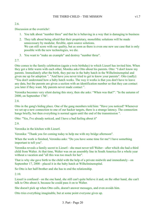## 2.6.

Discussion at the overrichs':

- 1. You talk about "number three" and that he is behaving in a way that is damaging to business
- 2. They talk about being afraid that their proprietary, monolithic solutions will be made unnecessary by modular, flexible, open source solutions. We can still score with our quality, but as soon as there is even one new use case that is only possible with the new technologies, we die.
- 3. You want to "make an example" and destroy "number three".

## 2.7.

Otto comes to the family celebration (again a twin birthday) to which Lieserl has invited him. When they got a little warm with each other, Monika asks Otto about his parents. Otto: "I don't know my parents. Immediately after the birth, they put me in the baby hatch in the Wilhelminenspital and given me up for adoption ". "And have you never tried to get to know your parents". Otto (sadly): "You don't understand how a baby hatch works. The way it works is that you don't have to leave any data, but the parents are given a section with an identification number so that they can contact you later if they want. My parents never made contact ".

Veronika becomes very silent during this story, then she asks: "When was that?". "In the autumn of 2000, on September 17th".

## 2.8.

Otto in the gang's hiding place. One of the gang members told him: "Have you noticed? Whenever we set up a new connection to one of our hacker targets, there is a strange latency. The connection hangs briefly, but then everything is normal again until the end of the transmission ".

Otto: "Yes, I've already noticed, and I have a bad feeling about it"

## 2.9.

Veronika in the kitchen with Lieserl.

Veronika: "Thank you for coming today to help me with my bridge afternoon".

When the work is finished, Veronika asks: "Do you have some time for me? I have something important to tell you".

Veronika reveals a family secret to Lieserl - she must never tell Walter - after which she had a third child from Walter. At that time, Walter was on an assembly line in South America for a whole year without a vacation and "all this was too much for her".

That is why she gave birth to the child with the help of a private midwife and immediately - on September 17, 2000 - placed it in the baby hatch at Wilhelminenspital.

So Otto is her half-brother and she has to end the relationship.

2.10.

Lieserl is confused - on the one hand, she still can't quite believe it and, on the other hand, she can't talk to Otto about it, because he could pass it on to Walter.

She doesn't pick up when Otto calls, doesn't answer messages, and even avoids him.

Otto tries everything imaginable, but at some point everyone gives up.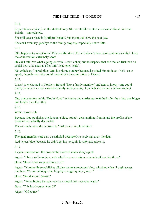2.11.

Lieserl takes advice from the student body. She would like to start a semester abroad in Great Britain – immediately.

She still gets a place in Northern Ireland, but she has to leave the next day.

She can't even say goodbye to the family properly, especially not to Otto.

2.12.

Otto happens to meet Conrad Peter on the street. He still doesn't have a job and only wants to keep the conversation extremely short.

He can't tell Otto what's going on with Lieserl either, but he suspects that she met an Irishman on social networks and ran after him "head over heels".

Nevertheless, Conrad gives Otto his phone number because he asked him to do so - he is, so to speak, the only one who could re-establish the connection to Lieserl.

2.13.

Lieserl is welcomed in Northern Ireland "like a family member" and gets to know - one could hardly believe it - a real extended family in the country, to which she invited a fellow student.

2.14.

Otto concentrates on his "Robin Hood" existence and carries out one theft after the other, one bigger and bolder than the other.

2.15.

With the overrich:

Because Otto publishes the data on a blog, nobody gets anything from it and the profits of the overrich are actually decimated.

The overrich make the decision to "make an example of him".

2.16.

The gang members are also dissatisfied because Otto is giving away the data.

Red versus blue: because he didn't get his love, his loyalty also gives in.

2.17.

4 eyes conversation: the boss of the overrich and a slimy agent.

Agent: "I have software here with which we can make an example of number three."

Boss: "How is that supposed to work?"

Agent: "Number three publishes all data on an anonymous blog, which now has 5-digit access numbers. We can sabotage this blog by smuggling in spyware."

Boss: "Good. Good. Go on!"

Agent: "We're hiding the spy ware in a model that everyone wants"

Boss: "This is of course Area 51"

Agent: "Of course"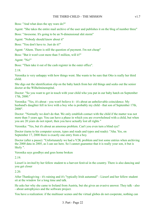Boss: "And what does the spy ware do?"

Agent: "She takes the entire mail archive of the user and publishes it on the blog of number three"

Boss: "Awesome. It's going to be an N-dimensional shit storm"

Agent: "Nobody should know about it"

Boss: "You don't have to. Just do it!"

Agent: "Ahem. There is still the question of payment. I'm not cheap"

Boss: "But it won't cost more than 5 million, will it?"

Agent: "No!"

Boss: "Then take it out of the cash register in the outer office".

2.18.

Veronika is very unhappy with how things went. She wants to be sure that Otto is really her third child.

She digs out the identification slip on the baby hatch from her old things and seeks out the senior doctor at the Wilhelminenspital.

Doctor: "So you want to get in touch with your child who you put in our baby hatch on September 17th, 2000."

Veronika: "Yes, it's about - you won't believe it - it's about an unbelievable coincidence. My husband's daughter fell in love with a boy who is probably my child - that son of September 17th, 2000".

Doctor: "Normally we don't do that. We only establish contact with the child if the matter was not more than 5 years ago. You can have a phase in which you are overwhelmed with a child, but when you are 20 years do not report, then you have actually lost all rights "

Veronika: "Yes, but it's about an amorous problem. Can't you even turn a blind eye?

Doctor (turns to his computer screen, types and reads and types and reads): "Aha. Yes, on September 17, 2000 there is exactly one entry from a boy.

Doctor (after a pause): "Unfortunately we had a Y2K problem and lost some entries when archiving the 2000 data in 2005, as I can see here. So I cannot guarantee that it is really your son, it but is likely ".

Veronika says goodbye and goes home broken

2.19.

Lieserl is invited by her fellow student to a harvest festival in the country. There is also dancing and you get closer

2.20.

After Thanksgiving - it's raining and it's "typically Irish autumnal" - Lieserl and her fellow student sit at the window for a long time and talk.

He asks her why she came to Ireland from Austria, but she gives an evasive answer. They talk - also - about astrophysics and the software project.

You have a realization: if the multiuser scenes and the virtual globes do not cooperate, nothing can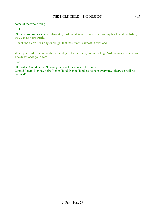come of the whole thing.

2.21.

Otto and his cronies steal an absolutely brilliant data set from a small startup booth and publish it, they expect huge traffic.

In fact, the alarm bells ring overnight that the server is almost in overload.

2.22.

When you read the comments on the blog in the morning, you see a huge N-dimensional shit storm. The downloads go to zero.

2.23.

Otto calls Conrad Peter: "I have got a problem, can you help me?" Conrad Peter: "Nobody helps Robin Hood. Robin Hood has to help everyone, otherwise he'll be doomed!"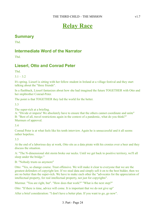# **Relay Race**

## **Summary**

Tbd.

## **Intermediate Word of the Narrator**

Tbd.

# **Lieserl, Otto and Conrad Peter**

Tbd.

 $3.1 - 3.2$ 

It's spring. Lieserl is sitting with her fellow student in Ireland at a village festival and they start talking about the "three friends".

In a flashback, Lieserl fantasizes about how she had imagined the future TOGETHER with Otto and her stepbrother Conrad-Peter.

The point is that TOGETHER they led the world for the better.

3.3

The super-rich at a briefing.

A: "Divide et impera! We absolutely have to ensure that the others cannot coordinate and unite" B: "Best of all, travel restrictions again in the context of a pandemic, what do you think?" Murmurs of approval.

3.4

Conrad Peter is at what feels like his tenth interview. Again he is unsuccessful and it all seems rather hopeless.

3.5

At the end of a laborious day at work, Otto sits as a data pirate with his cronies over a beer and they discuss the situation.

A: "The N-dimensional shit storm broke our necks. Until we get back to positive territory, we'll all sleep under the bridge."

B: "Nobody trusts us anymore"

Otto: "Yes, so change course. Trust offensive. We will make it clear to everyone that we are the greatest defenders of copyright law. If we steal data and simply sell it on to the best bidder, then we are no better than the super-rich. We have to make each other the "advocates for the appreciation of intellectual property, for real intellectual property, not just for copyrights".

Murmur. "You are right, but". "How does that work?" "What is the next step?"

Otto: "If there is time, advice will come. It is important that we do not give up"

After a brief consideration: "I don't have a better plan. If you want to go, go now".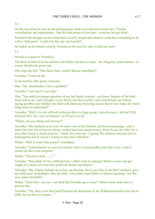#### 3.6

On the way home he sees an advertising poster stuck to an electrical switch box: "Family constellations and repatriations - find the dark points of your past - everyone has got them".

Somehow the thought occurs to him that Lieserl's inexplicable absence could have something to do with a "dark point". Could it be that she was hopeful?

He makes up his mind to stop by Veronika in the next few days to find out more.

3.7

Monika is a guest at Veronika's.

The three of them sit in the kitchen with Walter and have a snack - the obligatory punch donuts - of course Monika the green one.

Otto rings the bell: "Otto Maric here, could I discuss something?"

Veronika: "Come on up".

In the kitchen, Otto greets everyone.

Otto: "Ms. Haselbacher, I have a problem".

Veronika: "Let's see if I can help".

Otto: "You asked so strange questions at our last family reunion - you know, because of the baby hatch and so on - and I thought <every family has their secrets> and Lieserl broke up without saying goodbye and whether you didn't talk about any Knowing secrets that at least make the whole thing easier to understand? "

Veronika: "Well, it is a bit difficult to discuss this in a large group - (mischievous) - but the CCM declared 2021 the  $\leq$ year of honesty $\geq$ , so I'll give it a try"

"Walter, are you sitting well anyway?"

Veronika: "My husband never took too much care of the children and the housekeeping - well. I didn't like that, but at least he always worked hard and earned money. When he got the offer, for a year after Going to South America - I think for a start-up - I agreed, the children were just new to kindergarten and of course I wanted to stay here with them."

Walter: "Well, it wasn't that natural" (mumbles)

Veronika: "Unfortunately we were too stormy when we said goodbye and after a few weeks it turned out that I was pregnant."

Walter: "You never said .........."

Veronika: "Pssssshhh. It was a difficult time. I didn't want to endanger Walter's career and got caught in a vortex of events that pulled me deeper and deeper."

Veronika: "My religion forbade me to have an abortion, but it was clear to me that I wanted to give the child away immediately after the birth. I also didn't want Walter to find out anything - but that now seems inevitable".

Walter: "Then Otto - are you - our child that Veronika gave away?" Walter needs some time to process that.

Veronika: "Yes, there is no final proof because the documents in the Wilhelminenspital were lost in 2000, but we have to assume ..."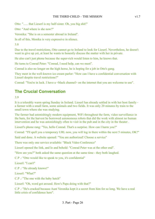Otto: "...... that Lieserl is my half-sister. Oh, you big shit!"

Otto: "And where is she now?"

Veronika: "She is on a semester abroad in Ireland".

In all of this, Monika is very expressive in silence.

3.8

Due to the travel restrictions, Otto cannot go to Ireland to look for Lieserl. Nevertheless, he doesn't want to give up yet, at least he wants to honestly discuss the matter with her in private.

He also can't just phone because the super-rich would listen to him, he knows that.

He turns to Conrad Peter: "Conrad, I need help, can we meet".

Conrad is also no longer on the high horse, he is hoping for a job in Otto's gang.

They meet in the well-known ice cream parlor: "How can I have a confidential conversation with Lieserl despite travel restrictions?"

Conrad: "You're in luck. I have a <br/>black channel> on the internet that you are welcome to use".

# **The Crucial Conversation**

3.9

It is a tolerably warm spring Sunday in Ireland. Lieserl has already settled in with her host family a farmer with a small farm, some animals and two fields. It was only 20 minutes by train to the small town where she was studying.

The farmer had astonishingly modern equipment, WiFi throughout the farm, video surveillance in the barn, for the harvest he borrowed autonomous robots that did the work with almost no human intervention and he was astonishingly often to visit in the pub and in the city in the theater .

Lieserl's phone rang: "Yes, hello Conrad. That's a surprise. How can I harm you?"

Conrad: "I'll spell you a temporary URL now, you will log in there within the next 5 minutes, OK?"

Said and done. A website opened: "You are authorized! Choose a service"

There was only one service available: "Black Video Conference"

Lieserl opened the link, and lo and behold: "Conrad Peter was at the other end".

"How are you?" both asked the same question at the same time - they both laughed.

C.P .: "Otto would like to speak to you, it's confidential"

Lieserl: "I can't"

C.P .: "He already knows!"

Lieserl: "What?"

C.P .: "The one with the baby hatch"

Lieserl: "Oh, word got around. How's Papa doing with that?"

C.P .: "He's cracked because Aunt Veronika kept it a secret from him for so long. We have a real little crisis of confidence here".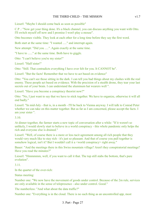Lieserl: "Maybe I should come back as soon as possible"

C.P .: "Now get your thing done. It's a black channel, you can discuss anything you want with Otto. I'll switch myself off now and I promise I won't play a mouse".

Otto becomes visible. They look at each other for a long time before they say the first word.

Both start at the same time: "I wanted ....." and interrupt again.

New attempt: "Did you .....". Again exactly at the same time.

"I have to ......" at the same time. Both have to giggle.

Otto: "I can't believe you're my sister!"

Lieserl: "Half sister!"

Otto: "Still. That contradicts everything I have ever felt for you. It CANNOT be".

Lieserl: "But the facts! Remember that we have to act based on evidence"

Otto: "You can't see those sitting in the dark. I can tell you bad things about my clashes with the real enemy. These people act based on evidence. With the precision of a stealth drone, they tear your last secrets out of your brain. I can understand the aluminum hat wearers well ".

Lieserl: "Have you become a conspiracy theorist now?"

Otto: "No, I just want to say that we have to stick together. We have to organize, otherwise it will all end badly."

Lieserl: "In mid-July - that is, in a month - I'll be back to Vienna anyway. I will talk to Conrad Peter whether we can take on this matter together. But as far as I am concerned, please accept the facts. I am your sister ".

3.10.

At dinner together, the farmer starts a new topic of conversation after a while: "If it weren't so unlikely, I would slowly start to believe in a world conspiracy - this whole pandemic only helps the rich and everyone else is drained."

Lieserl: "Well, of course there is a more or less tacit agreement among all rich people that they would very much like to stay rich - it's just so pleasant. And that of course you pull together is somehow logical, isn't it? But I wouldn't call it a <world conspiracy> right away."

Bauer: "And the meetings there in this Swiss mountain village? Aren't they conspiratorial meetings? Have you read the minutes?"

Lieserl: "Hmmmmm, well, if you want to call it that. The top still stabs the bottom, that's pure evolution".

3.11.

In the quarter of the over-rich:

Status meeting:

Number one: "We now have the movement of goods under control. Because of the 2m rule, services are only available in the sense of telepresence - also under control. Good."

The numberless: "And what about the data traffic?"

Number one: "Everything is in the cloud. There is no such thing as an uncontrolled app, most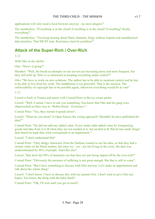applications will only need a local browser anyway - no more plugins!"

The numberless: "Everything is in the cloud! Everything is in the cloud? Everything? Really everything?"

The numberless: "You keep hearing about black channels, blogs without imprint and unauthorized data transfers. That MUST stop. Resistance must be pointless!"

# **Attack of the Super-Rich / Over-Rich**

3.12

With Otto in the shelter.

Otto: "How's it going?"

Member: "Well, the break-in attempts on our servers are becoming more and more frequent, but they still hold up. Who is so interested in keeping everything under control?"

Otto: "We have to work on new solutions. The author has to be able to maintain control and he has to be able to live from his work. The middleman is too powerful. That is the mission. The enforceability of copyright has to be possible again, otherwise everything would be in vain".

3.13.

Lieserl is back in Vienna and meets with Conrad Peter in the ice cream parlor.

Lieserl: "Well, Conrad, I have to ask you something. You know that Otto and his gang were shipwrecked on their way to <Robin Hood – Existence>".

Conrad Peter: "Yes, they started it upside down".

Lieserl: "What do you mean? Is Open Source the wrong approach? Shouldn't he have published the data?"

Conrad Peter: "He did not add any added value. Every trader adds added value by transporting goods and data from A to B when they are not needed at A, but needed at B. But he has made illegal data based on legal data what corresponds to an impairment ".

Lieserl: "I don't understand that"

Conrad Peter: "Only dodgy characters from the Darknet wanted to use his data, so that they had a certain value on the black market, but since we - yet - are not living in the crisis, the data was underestimated by 90% of people. And Otto also".

Lieserl: "But don't the 90% of humanity see that they are just being ripped off by the over-rich?"

Conrad Peter: "Obviously the pressure of suffering is not great enough. But that is still to come".

Conrad Peter: "But I have something to discuss with Otto anyway. Let's make an appointment and talk about the whole thing".

Lieserl: "I don't know. I have to discuss this with my parents first. I don't want to give Otto any hopes. You know, the thing with the baby hatch".

Conrad Peter: "OK, I'll wait until you get in touch"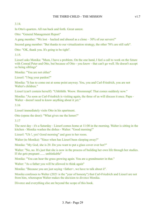3.14.

In Otto's quarters. All run back and forth. Great unrest.

Otto: "General Management Report"

A gang member: "We lost – hacked and abused as a clone – 30% of our servers!"

Second gang member: "But thanks to our virtualization strategy, the other 70% are still safe".

Otto: "OK, thank you. It's going to be tight".

3.15.

Lieserl asks Monika: "Mum, I have a problem. On the one hand, I feel a call to work on the future with Conrad Peter and Otto, but because of Otto - you know - that can't go well. He doesn't accept us being siblings"

Monika: "You are not either"

Lieserl: "I beg your pardon?"

Monika: "It has to come out at some point anyway. You, you and Carl-Friedrich, you are not Walter's children."

Lieserl (can't contain herself): "Uhhhhhh. Woow. Hmmmmpf. That comes suddenly now."

Monika: "As soon as Carl-Friedrich is visiting again, the three of us will discuss it once. Papa - Walter - doesn't need to know anything about it yet."

3.16

Lieserl immediately visits Otto in his apartment.

Otto (opens the door): "What gives me the honor?"

3.17

The next day - it's a Saturday - Lieserl comes home at 11:00 in the morning. Walter is sitting in the kitchen - Monika washes the dishes - Walter: "Good morning!"

Lieserl: "Uh !, yes! Good morning" and goes to her room.

Walter (to Monika): "Since when has Lieserl been sleeping away?"

Monika: "My God, she is 20. Do you want to put a glass cover over her?"

Walter: "No, no. It's just that she is now in the process of building her own life through her studies. If she gets pregnant ...... unthinkable"

Monika: "You can hear the grass growing again. You are a grandmaster in that."

Walter: "As a father you will be allowed to think again"

Monika: "Because you are just saying <father>, we have to talk about it".

Monika confesses to Walter (2021 is the "year of honesty") that Carl-Friedrich and Lieserl are not from him, whereupon Walter makes the decision to divorce Monika.

Divorce and everything else are beyond the scope of this book.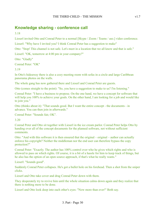# **Knowledge sharing - conference call**

## 3.18

Lieserl invited Otto and Conrad Peter to a normal [Skype / Zoom / Teams / aso.] video conference.

Lieserl: "Why have I invited you? I think Conrad Peter has a suggestion to make"

Otto: "Stop! This channel is not safe. Let's meet in a location that we all know and that is safe."

Lieserl: "OK, tomorrow at 4:00 pm in your company?"

Otto: "Gladly"

Conrad Peter: "OK"

3.19

In Otto's hideaway there is also a cozy meeting room with sofas in a circle and large Caribbean panorama photos on the walls.

The whole gang has now gathered there and Lieserl and Conrad Peter are guests.

Otto (comes straight to the point): "So, you have a suggestion to make to us? I'm listening."

Conrad Peter: "I have a business to propose. On the one hand, we have a concept for software that will help you 100% to achieve your goals. On the other hand, I am looking for a job and would like to join you."

Otto (thinks about it): "That sounds good. But I want the entire concept - the documents - in advance. You can then join in afterwards."

Conrad Peter: "Sounds fair, OK".

3.20

Conrad Peter and Otto sit together with Lieserl in the ice cream parlor. Conrad Peter helps Otto by handing over all of the concept documents for the planned software, not without sufficient comments.

Otto: "And with this software it is then ensured that the original – original – author can actually enforce his copyright? Neither the middleman nor the end user can therefore bypass the copy protection?"

Conrad Peter: "Exactly. The author has 100% control over who he gives which rights and who is allowed to pass on which rights. Of course, it is a bit of a hassle for him to keep track of things, but he also has the option of an open source approach, if that's what he really wants."

Lieserl: "Sounds good".

Suddenly Conrad Peter collapses. He's got a bullet hole on his forehead. Then a shot from the sniper clicks.

Lieserl and Otto take cover and drag Conrad Peter down with them.

They desperately try to revive him until the whole situation calms down again and they realize that there is nothing more to be done.

Lieserl and Otto look deep into each other's eyes: "Now more than ever!" Both say.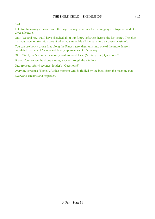3.21

In Otto's hideaway - the one with the large factory window - the entire gang sits together and Otto gives a lecture.

Otto: "So and now that I have sketched all of our future software, here is the last secret. The clue that you have to take into account when you assemble all the parts into an overall system".

You can see how a drone flies along the Ringstrasse, then turns into one of the more densely populated districts of Vienna and finally approaches Otto's factory.

Otto: "Well, that's it, now I can only wish us good luck. (Military tone) Questions?"

Break. You can see the drone aiming at Otto through the window.

Otto (repeats after 4 seconds; louder): "Questions?"

everyone screams: "None!". At that moment Otto is riddled by the burst from the machine gun.

Everyone screams and disperses.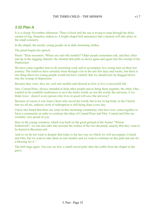## *3.22 Plan A*

It is a cloudy November afternoon. Three o'clock and the sun is trying to seep through the thick curtain of fog. Hopeless endeavor. A bright chapel bell announces that a funeral will take place in the small cemetery.

In the chapel, the mostly young people sit in dark mourning clothes.

The priest begins his speech.

Priest: "Dear mourners. 'Where are real role models?' Older people sometimes ask, and they often end up in the nagging channel, the channel that pulls us down again and again into the swamp of the Depression.

We have come together here to do mourning work and to accompany two young men on their last journey. The relatives have certainly been through a lot in the last few days and weeks, but there is one thing these two young people would not have wanted: that we should now be dragged down into the swamp of depression.

Because they were, they are, real role models and showed us how to live a successful life.

One, Conrad Peter, always intended to help other people and to bring them together, the other, Otto, wanted in his youthful exuberance to save the entire world, no not the world, the universe, if we think twice : doesn't every person who lives in good will save the universe?

Because of course it was Jesus Christ who saved the world, but in his living body, in the Church that we all are, arduous work of redemption is still being done every day.

I have also heard that there are some in this mourning community who have now come together to form a community in order to continue the ideas of Conrad Peter and Otto. Conrad and Otto are certainly very proud of you.

Here in the young cemetery, which was built on the good ground of the former "Wiener Erdenwerk", we can also take into account the wishes of the two deceased, namely that they want to be buried in Bavarian soil.

And so we do not want to despair that today is the last way on which we will accompany Conrad and Otto, but we want to take them as role models and we want to continue on this path and ask for a blessing for it. "

The bell rings again. You can see how a small crowd pulls after the coffin from the chapel to the grave.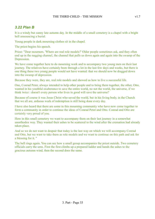## *3.22 Plan B*

It is a windy but sunny late autumn day. In the middle of a small cemetery is a chapel with a bright bell announcing a burial.

Young people in dark mourning clothes sit in the chapel.

The priest begins his speech.

Priest: "Dear mourners. 'Where are real role models?' Older people sometimes ask, and they often end up in the nagging channel, the channel that pulls us down again and again into the swamp of the Depression.

We have come together here to do mourning work and to accompany two young men on their last journey. The relatives have certainly been through a lot in the last few days and weeks, but there is one thing these two young people would not have wanted: that we should now be dragged down into the swamp of depression.

Because they were, they are, real role models and showed us how to live a successful life.

One, Conrad Peter, always intended to help other people and to bring them together, the other, Otto, wanted in his youthful exuberance to save the entire world, no not the world, the universe, if we think twice : doesn't every person who lives in good will save the universe?

Because of course it was Jesus Christ who saved the world, but in his living body, in the Church that we all are, arduous work of redemption is still being done every day.

I have also heard that there are some in this mourning community who have now come together to form a community in order to continue the ideas of Conrad Peter and Otto. Conrad and Otto are certainly very proud of you.

Here in this small cemetery we want to accompany them on their last journey in a somewhat unorthodox way. They wanted their ashes to be scattered to the wind after the cremation had already taken place.

And so we do not want to despair that today is the last way on which we will accompany Conrad and Otto, but we want to take them as role models and we want to continue on this path and ask for a blessing for it. "

The bell rings again. You can see how a small group accompanies the priest outside. Two cemetery officials carry the urns. First the first climbs up a prepared ladder and hands the ashes to the gracious autumn wind, then the second does the same.